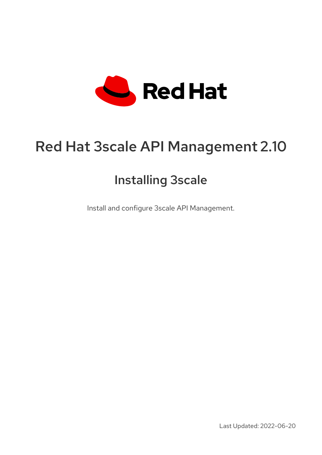

# Red Hat 3scale API Management 2.10

# Installing 3scale

Install and configure 3scale API Management.

Last Updated: 2022-06-20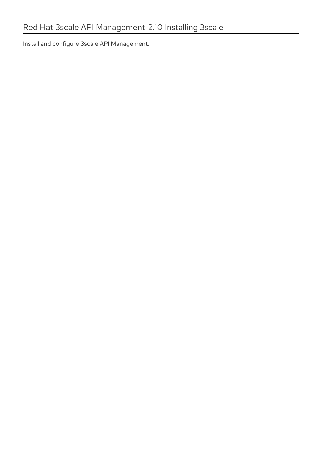Install and configure 3scale API Management.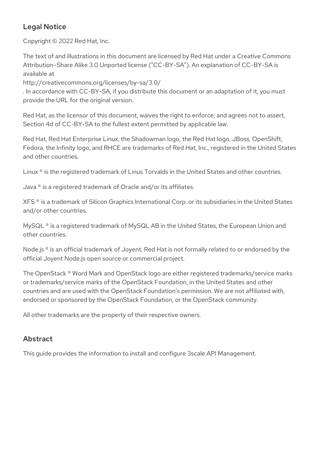## Legal Notice

Copyright © 2022 Red Hat, Inc.

The text of and illustrations in this document are licensed by Red Hat under a Creative Commons Attribution–Share Alike 3.0 Unported license ("CC-BY-SA"). An explanation of CC-BY-SA is available at

http://creativecommons.org/licenses/by-sa/3.0/

. In accordance with CC-BY-SA, if you distribute this document or an adaptation of it, you must provide the URL for the original version.

Red Hat, as the licensor of this document, waives the right to enforce, and agrees not to assert, Section 4d of CC-BY-SA to the fullest extent permitted by applicable law.

Red Hat, Red Hat Enterprise Linux, the Shadowman logo, the Red Hat logo, JBoss, OpenShift, Fedora, the Infinity logo, and RHCE are trademarks of Red Hat, Inc., registered in the United States and other countries.

Linux ® is the registered trademark of Linus Torvalds in the United States and other countries.

Java ® is a registered trademark of Oracle and/or its affiliates.

XFS ® is a trademark of Silicon Graphics International Corp. or its subsidiaries in the United States and/or other countries.

MySQL<sup>®</sup> is a registered trademark of MySQL AB in the United States, the European Union and other countries.

Node.js ® is an official trademark of Joyent. Red Hat is not formally related to or endorsed by the official Joyent Node.js open source or commercial project.

The OpenStack ® Word Mark and OpenStack logo are either registered trademarks/service marks or trademarks/service marks of the OpenStack Foundation, in the United States and other countries and are used with the OpenStack Foundation's permission. We are not affiliated with, endorsed or sponsored by the OpenStack Foundation, or the OpenStack community.

All other trademarks are the property of their respective owners.

## Abstract

This guide provides the information to install and configure 3scale API Management.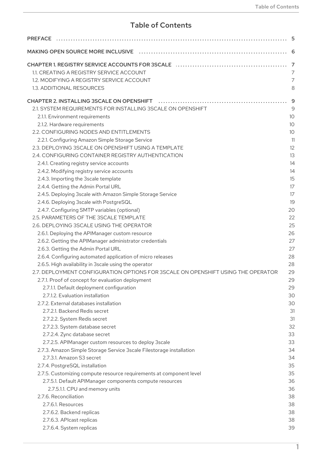## Table of Contents

| <b>PREFACE</b>                                                                   |              |
|----------------------------------------------------------------------------------|--------------|
|                                                                                  |              |
|                                                                                  |              |
| 1.1. CREATING A REGISTRY SERVICE ACCOUNT                                         |              |
| 1.2. MODIFYING A REGISTRY SERVICE ACCOUNT                                        |              |
| 1.3. ADDITIONAL RESOURCES                                                        |              |
|                                                                                  |              |
| CHAPTER 2. INSTALLING 3SCALE ON OPENSHIFT                                        |              |
| 2.1. SYSTEM REQUIREMENTS FOR INSTALLING 3SCALE ON OPENSHIFT                      | $\mathsf{Q}$ |
| 2.1.1. Environment requirements                                                  |              |
| 2.1.2. Hardware requirements                                                     |              |
| 2.2. CONFIGURING NODES AND ENTITLEMENTS                                          |              |
| 2.2.1. Configuring Amazon Simple Storage Service                                 |              |
| 2.3. DEPLOYING 3SCALE ON OPENSHIFT USING A TEMPLATE                              |              |
| 2.4. CONFIGURING CONTAINER REGISTRY AUTHENTICATION                               |              |
| 2.4.1. Creating registry service accounts                                        |              |
| 2.4.2. Modifying registry service accounts                                       |              |
| 2.4.3. Importing the 3scale template                                             |              |
| 2.4.4. Getting the Admin Portal URL                                              |              |
| 2.4.5. Deploying 3scale with Amazon Simple Storage Service                       |              |
| 2.4.6. Deploying 3scale with PostgreSQL                                          |              |
| 2.4.7. Configuring SMTP variables (optional)                                     | 20           |
| 2.5. PARAMETERS OF THE 3SCALE TEMPLATE                                           | 22           |
|                                                                                  |              |
| 2.6. DEPLOYING 3SCALE USING THE OPERATOR                                         | 25           |
| 2.6.1. Deploying the APIManager custom resource                                  | 26           |
| 2.6.2. Getting the APIManager administrator credentials                          | 27           |
| 2.6.3. Getting the Admin Portal URL                                              | 27           |
| 2.6.4. Configuring automated application of micro releases                       | 28           |
| 2.6.5. High availability in 3scale using the operator                            | 28           |
| 2.7. DEPLOYMENT CONFIGURATION OPTIONS FOR 3SCALE ON OPENSHIFT USING THE OPERATOR | 29           |
| 2.7.1. Proof of concept for evaluation deployment                                | 29           |
| 2.7.1.1. Default deployment configuration                                        | 29           |
| 2.7.1.2. Evaluation installation                                                 | 30           |
| 2.7.2. External databases installation                                           | 30           |
| 2.7.2.1. Backend Redis secret                                                    | 31           |
| 2.7.2.2. System Redis secret                                                     | 31           |
| 2.7.2.3. System database secret                                                  | 32           |
| 2.7.2.4. Zync database secret                                                    | 33           |
| 2.7.2.5. APIManager custom resources to deploy 3scale                            | 33           |
| 2.7.3. Amazon Simple Storage Service 3scale Filestorage installation             | 34           |
| 2.7.3.1. Amazon S3 secret                                                        | 34           |
|                                                                                  |              |
| 2.7.4. PostgreSQL installation                                                   | 35           |
| 2.7.5. Customizing compute resource requirements at component level              | 35           |
| 2.7.5.1. Default APIManager components compute resources                         | 36           |
| 2.7.5.1.1. CPU and memory units                                                  | 36           |
| 2.7.6. Reconciliation                                                            | 38           |
| 2.7.6.1. Resources                                                               | 38           |
| 2.7.6.2. Backend replicas                                                        | 38           |
| 2.7.6.3. APIcast replicas                                                        | 38           |
| 2.7.6.4. System replicas                                                         | 39           |
|                                                                                  |              |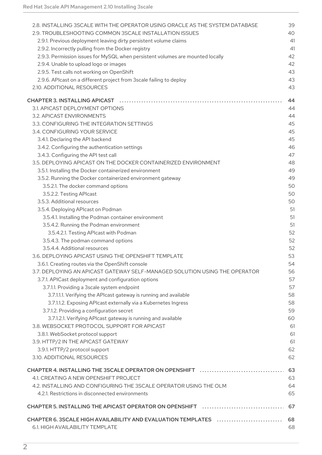| 2.8. INSTALLING 3SCALE WITH THE OPERATOR USING ORACLE AS THE SYSTEM DATABASE                                   | 39  |
|----------------------------------------------------------------------------------------------------------------|-----|
| 2.9. TROUBLESHOOTING COMMON 3SCALE INSTALLATION ISSUES                                                         | 40  |
| 2.9.1. Previous deployment leaving dirty persistent volume claims                                              |     |
| 2.9.2. Incorrectly pulling from the Docker registry                                                            |     |
| 2.9.3. Permission issues for MySQL when persistent volumes are mounted locally                                 | 42  |
| 2.9.4. Unable to upload logo or images                                                                         | 42  |
| 2.9.5. Test calls not working on OpenShift                                                                     | 43  |
| 2.9.6. APIcast on a different project from 3scale failing to deploy                                            | 43  |
| 2.10. ADDITIONAL RESOURCES                                                                                     | 43  |
| CHAPTER 3. INSTALLING APICAST (and according to the control of the control of the chapter of the chapter of th |     |
| 3.1. APICAST DEPLOYMENT OPTIONS                                                                                | 44  |
| 3.2. APICAST ENVIRONMENTS                                                                                      | 44  |
| 3.3. CONFIGURING THE INTEGRATION SETTINGS                                                                      | 45  |
| 3.4. CONFIGURING YOUR SERVICE                                                                                  |     |
| 3.4.1. Declaring the API backend                                                                               |     |
| 3.4.2. Configuring the authentication settings                                                                 | 46  |
| 3.4.3. Configuring the API test call                                                                           |     |
| 3.5. DEPLOYING APICAST ON THE DOCKER CONTAINERIZED ENVIRONMENT                                                 | 48  |
| 3.5.1. Installing the Docker containerized environment                                                         | 4с  |
| 3.5.2. Running the Docker containerized environment gateway                                                    | 49  |
| 3.5.2.1. The docker command options                                                                            | 50  |
| 3.5.2.2. Testing APIcast                                                                                       | 50  |
| 3.5.3. Additional resources                                                                                    | 50  |
| 3.5.4. Deploying APIcast on Podman                                                                             | 51  |
| 3.5.4.1. Installing the Podman container environment                                                           | 51  |
| 3.5.4.2. Running the Podman environment                                                                        | .51 |
| 3.5.4.2.1. Testing APIcast with Podman                                                                         | 52  |
| 3.5.4.3. The podman command options                                                                            | 52  |
| 3.5.4.4. Additional resources                                                                                  | 52  |
| 3.6. DEPLOYING APICAST USING THE OPENSHIFT TEMPLATE                                                            | 53  |
| 3.6.1. Creating routes via the OpenShift console                                                               | 54  |
| 3.7. DEPLOYING AN APICAST GATEWAY SELF-MANAGED SOLUTION USING THE OPERATOR                                     | 56  |
|                                                                                                                |     |
| 3.7.1. APICast deployment and configuration options                                                            | 57  |
| 3.7.1.1. Providing a 3scale system endpoint                                                                    | 57  |
| 3.7.1.1.1. Verifying the APIcast gateway is running and available                                              | 58  |
| 3.7.1.1.2. Exposing APIcast externally via a Kubernetes Ingress                                                | 58  |
| 3.7.1.2. Providing a configuration secret                                                                      | 59  |
| 3.7.1.2.1. Verifying APIcast gateway is running and available                                                  | 60  |
| 3.8. WEBSOCKET PROTOCOL SUPPORT FOR APICAST                                                                    | 61  |
| 3.8.1. WebSocket protocol support                                                                              | 61  |
| 3.9. HTTP/2 IN THE APICAST GATEWAY                                                                             | 61  |
| 3.9.1. HTTP/2 protocol support                                                                                 | 62  |
| 3.10. ADDITIONAL RESOURCES                                                                                     | 62  |
|                                                                                                                | 63  |
| 4.1. CREATING A NEW OPENSHIFT PROJECT                                                                          | 63  |
| 4.2. INSTALLING AND CONFIGURING THE 3SCALE OPERATOR USING THE OLM                                              | 64  |
| 4.2.1. Restrictions in disconnected environments                                                               | 65  |
|                                                                                                                |     |
|                                                                                                                |     |
| 6.1. HIGH AVAILABILITY TEMPLATE                                                                                | 68  |
|                                                                                                                |     |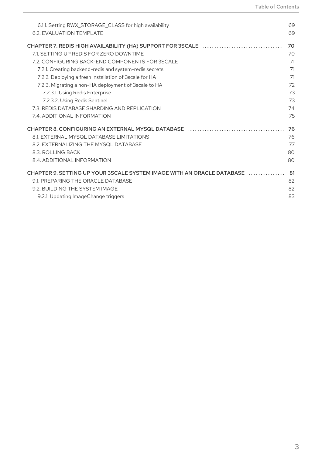| 69                                                                         |
|----------------------------------------------------------------------------|
| 69                                                                         |
|                                                                            |
|                                                                            |
|                                                                            |
|                                                                            |
|                                                                            |
| 72                                                                         |
|                                                                            |
|                                                                            |
| 74                                                                         |
| 75                                                                         |
| -76                                                                        |
| 76                                                                         |
|                                                                            |
|                                                                            |
|                                                                            |
| CHAPTER 9. SETTING UP YOUR 3SCALE SYSTEM IMAGE WITH AN ORACLE DATABASE  81 |
| 82                                                                         |
| 82                                                                         |
| 83                                                                         |
|                                                                            |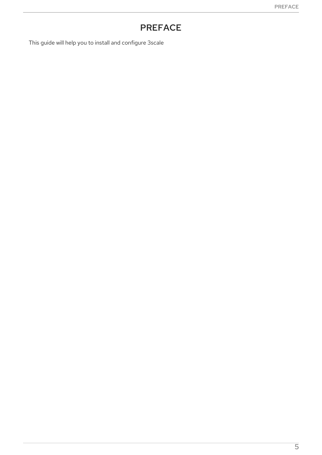## PREFACE

<span id="page-8-0"></span>This guide will help you to install and configure 3scale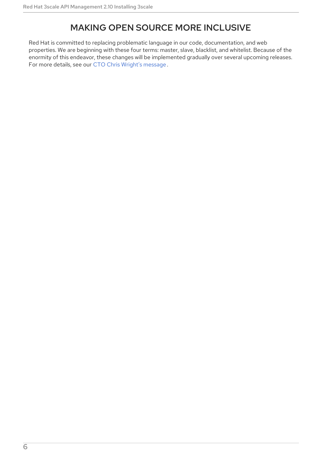## MAKING OPEN SOURCE MORE INCLUSIVE

<span id="page-9-0"></span>Red Hat is committed to replacing problematic language in our code, documentation, and web properties. We are beginning with these four terms: master, slave, blacklist, and whitelist. Because of the enormity of this endeavor, these changes will be implemented gradually over several upcoming releases. For more details, see our CTO Chris Wright's [message](https://www.redhat.com/en/blog/making-open-source-more-inclusive-eradicating-problematic-language) .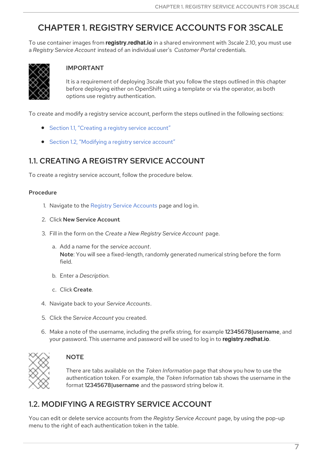## <span id="page-10-3"></span><span id="page-10-0"></span>CHAPTER 1. REGISTRY SERVICE ACCOUNTS FOR 3SCALE

To use container images from **registry.redhat.io** in a shared environment with 3scale 2.10, you must use a *Registry Service Account* instead of an individual user's *Customer Portal* credentials.



## IMPORTANT

It is a requirement of deploying 3scale that you follow the steps outlined in this chapter before deploying either on OpenShift using a template or via the operator, as both options use registry authentication.

To create and modify a registry service account, perform the steps outlined in the following sections:

- Section 1.1, ["Creating](#page-10-1) a registry service account"
- **•** Section 1.2, ["Modifying](#page-11-1) a registry service account"

## <span id="page-10-1"></span>1.1. CREATING A REGISTRY SERVICE ACCOUNT

To create a registry service account, follow the procedure below.

#### Procedure

- 1. Navigate to the Registry Service [Accounts](https://access.redhat.com/terms-based-registry) page and log in.
- 2. Click New Service Account.
- 3. Fill in the form on the *Create a New Registry Service Account* page.
	- a. Add a name for the *service account*. Note: You will see a fixed-length, randomly generated numerical string before the form field.
	- b. Enter a *Description*.
	- c. Click Create.
- 4. Navigate back to your *Service Accounts*.
- 5. Click the *Service Account* you created.
- 6. Make a note of the username, including the prefix string, for example 12345678|username, and your password. This username and password will be used to log in to **registry.redhat.io**.



## **NOTE**

There are tabs available on the *Token Information* page that show you how to use the authentication token. For example, the *Token Information* tab shows the username in the format 12345678|username and the password string below it.

## <span id="page-10-2"></span>1.2. MODIFYING A REGISTRY SERVICE ACCOUNT

You can edit or delete service accounts from the *Registry Service Account* page, by using the pop-up menu to the right of each authentication token in the table.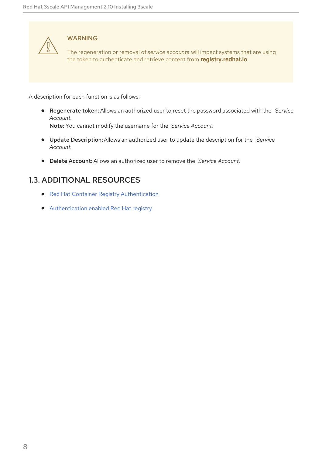<span id="page-11-1"></span>

## WARNING

The regeneration or removal of *service accounts* will impact systems that are using the token to authenticate and retrieve content from **registry.redhat.io**.

A description for each function is as follows:

Regenerate token: Allows an authorized user to reset the password associated with the *Service Account*.

Note: You cannot modify the username for the *Service Account*.

- Update Description:Allows an authorized user to update the description for the *Service Account*.
- Delete Account: Allows an authorized user to remove the *Service Account*.

## <span id="page-11-0"></span>1.3. ADDITIONAL RESOURCES

- **•** Red Hat Container Registry [Authentication](https://access.redhat.com/RegistryAuthentication)
- [Authentication](https://docs.openshift.com/container-platform/4.1/registry/registry-options.html#registry-authentication-enabled-registry-overview_registry-options) enabled Red Hat registry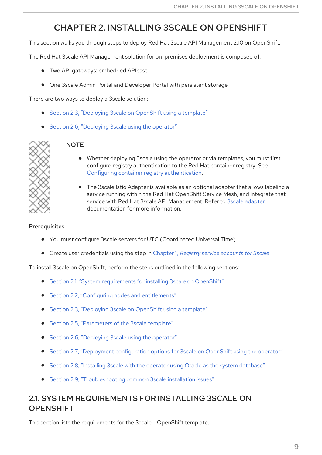## CHAPTER 2. INSTALLING 3SCALE ON OPENSHIFT

<span id="page-12-0"></span>This section walks you through steps to deploy Red Hat 3scale API Management 2.10 on OpenShift.

The Red Hat 3scale API Management solution for on-premises deployment is composed of:

- Two API gateways: embedded APIcast
- One 3scale Admin Portal and Developer Portal with persistent storage

There are two ways to deploy a 3scale solution:

- Section 2.3, ["Deploying](#page-15-0) 3scale on OpenShift using a template"
- Section 2.6, ["Deploying](#page-30-2) 3scale using the operator"



### **NOTE**

- Whether deploying 3scale using the operator or via templates, you must first configure registry authentication to the Red Hat container registry. See Configuring container registry [authentication.](#page-20-2)
- The 3scale Istio Adapter is available as an optional adapter that allows labeling a service running within the Red Hat OpenShift Service Mesh, and integrate that service with Red Hat 3scale API Management. Refer to 3scale [adapter](https://access.redhat.com/documentation/en-us/openshift_container_platform/4.4/html-single/service_mesh/index#threescale-adapter-1) documentation for more information.

#### **Prerequisites**

- You must configure 3scale servers for UTC (Coordinated Universal Time).
- Create user credentials using the step in Chapter 1, *Registry service [accounts](#page-10-3) for 3scale*

To install 3scale on OpenShift, perform the steps outlined in the following sections:

- Section 2.1, "System [requirements](#page-13-3) for installing 3scale on OpenShift"
- Section 2.2, "Configuring nodes and [entitlements"](#page-14-1)
- Section 2.3, ["Deploying](#page-15-0) 3scale on OpenShift using a template"
- Section 2.5, ["Parameters](#page-26-0) of the 3scale template"
- Section 2.6, ["Deploying](#page-30-2) 3scale using the operator"
- Section 2.7, "Deployment [configuration](#page-37-2) options for 3scale on OpenShift using the operator"
- Section 2.8, "Installing 3scale with the operator using Oracle as the system [database"](#page-43-1)
- Section 2.9, ["Troubleshooting](#page-45-2) common 3scale installation issues"

## <span id="page-12-1"></span>2.1. SYSTEM REQUIREMENTS FOR INSTALLING 3SCALE ON **OPFNSHIFT**

This section lists the requirements for the 3scale - OpenShift template.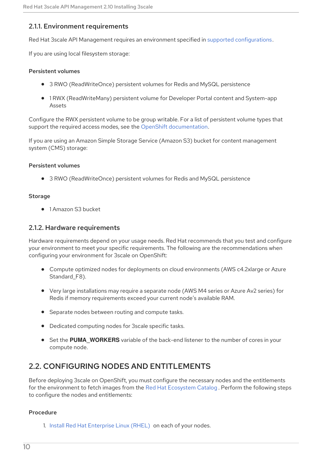## <span id="page-13-3"></span><span id="page-13-0"></span>2.1.1. Environment requirements

Red Hat 3scale API Management requires an environment specified in supported [configurations](https://access.redhat.com/articles/2798521).

If you are using local filesystem storage:

#### Persistent volumes

- 3 RWO (ReadWriteOnce) persistent volumes for Redis and MySQL persistence
- 1 RWX (ReadWriteMany) persistent volume for Developer Portal content and System-app Assets

Configure the RWX persistent volume to be group writable. For a list of persistent volume types that support the required access modes, see the OpenShift [documentation](https://access.redhat.com/documentation/en-us/openshift_container_platform/4.1/html-single/storage/index#persistent-volumes_understanding-persistent-storage).

If you are using an Amazon Simple Storage Service (Amazon S3) bucket for content management system (CMS) storage:

#### Persistent volumes

3 RWO (ReadWriteOnce) persistent volumes for Redis and MySQL persistence

#### Storage

• 1 Amazon S3 bucket

### <span id="page-13-1"></span>2.1.2. Hardware requirements

Hardware requirements depend on your usage needs. Red Hat recommends that you test and configure your environment to meet your specific requirements. The following are the recommendations when configuring your environment for 3scale on OpenShift:

- Compute optimized nodes for deployments on cloud environments (AWS c4.2xlarge or Azure Standard F8).
- Very large installations may require a separate node (AWS M4 series or Azure Av2 series) for Redis if memory requirements exceed your current node's available RAM.
- **•** Separate nodes between routing and compute tasks.
- Dedicated computing nodes for 3scale specific tasks.
- **Set the PUMA\_WORKERS** variable of the back-end listener to the number of cores in your compute node.

## <span id="page-13-2"></span>2.2. CONFIGURING NODES AND ENTITLEMENTS

Before deploying 3scale on OpenShift, you must configure the necessary nodes and the entitlements for the environment to fetch images from the Red Hat [Ecosystem](https://registry.redhat.io) Catalog . Perform the following steps to configure the nodes and entitlements:

#### Procedure

1. Install Red Hat [Enterprise](https://access.redhat.com/documentation/en-US/Red_Hat_Enterprise_Linux/7/html/Installation_Guide/index.html) Linux (RHEL) on each of your nodes.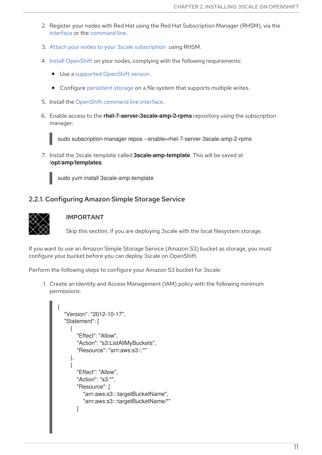- <span id="page-14-1"></span>2. Register your nodes with Red Hat using the Red Hat Subscription Manager (RHSM), via the [interface](https://access.redhat.com/documentation/en-us/red_hat_subscription_management/1/html-single/rhsm/index#reg-gui) or the [command](https://access.redhat.com/documentation/en-us/red_hat_subscription_management/1/html/using_red_hat_subscription_management/registration_con#register_cli) line.
- 3. Attach your nodes to your 3scale [subscription](https://access.redhat.com/documentation/en-us/red_hat_subscription_management/1/html/using_red_hat_subscription_management/manage_systems_con#attach_sub_system_proc) using RHSM.
- 4. Install [OpenShift](https://access.redhat.com/documentation/en-us/openshift_container_platform/4.1/html-single/installing/index#installing-aws-default) on your nodes, complying with the following requirements:
	- Use a supported [OpenShift](https://access.redhat.com/articles/2798521) version.
	- Configure [persistent](https://access.redhat.com/documentation/en-us/openshift_container_platform/4.1/html-single/storage/index#configuring-persistent-storage) storage on a file system that supports multiple writes.
- 5. Install the [OpenShift](https://access.redhat.com/documentation/en-us/openshift_container_platform/4.1/html-single/cli_reference/index#cli-installing-cli_cli-developer-commands) command line interface.
- 6. Enable access to the **rhel-7-server-3scale-amp-2-rpms** repository using the subscription manager:

sudo subscription-manager repos --enable=rhel-7-server-3scale-amp-2-rpms

7. Install the 3scale template called **3scale-amp-template**. This will be saved at **/opt/amp/templates**.

sudo yum install 3scale-amp-template

## <span id="page-14-0"></span>2.2.1. Configuring Amazon Simple Storage Service



### IMPORTANT

Skip this section, if you are deploying 3scale with the local filesystem storage.

If you want to use an Amazon Simple Storage Service (Amazon S3) bucket as storage, you must configure your bucket before you can deploy 3scale on OpenShift.

Perform the following steps to configure your Amazon S3 bucket for 3scale:

1. Create an Identity and Access Management (IAM) policy with the following minimum permissions:

```
{
  "Version": "2012-10-17",
  "Statement": [
     {
       "Effect": "Allow",
       "Action": "s3:ListAllMyBuckets",
       "Resource": "arn:aws:s3:::*"
    },
    {
       "Effect": "Allow",
       "Action": "s3:*",
       "Resource": [
          "arn:aws:s3:::targetBucketName",
          "arn:aws:s3:::targetBucketName/*"
       \mathbf{I}
```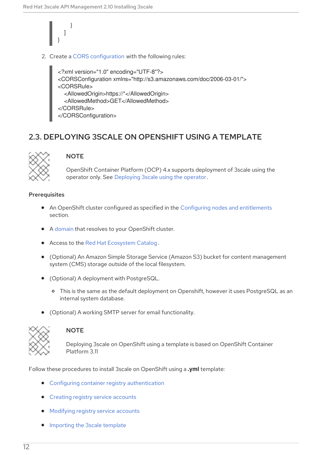] }

}

2. Create a CORS [configuration](http://docs.aws.amazon.com/AmazonS3/latest/dev/cors.html) with the following rules:

```
<?xml version="1.0" encoding="UTF-8"?>
<CORSConfiguration xmlns="http://s3.amazonaws.com/doc/2006-03-01/">
<CORSRule>
  <AllowedOrigin>https://*</AllowedOrigin>
  <AllowedMethod>GET</AllowedMethod>
</CORSRule>
</CORSConfiguration>
```
## <span id="page-15-0"></span>2.3. DEPLOYING 3SCALE ON OPENSHIFT USING A TEMPLATE



## **NOTE**

OpenShift Container Platform (OCP) 4.x supports deployment of 3scale using the operator only. See [Deploying](https://access.redhat.com/documentation/en-us/red_hat_3scale_api_management/2.10/html-single/installing_3scale/index#deploying-threescale-using-the-operator) 3scale using the operator.

#### Prerequisites

- An OpenShift cluster configured as specified in the Configuring nodes and [entitlements](https://access.redhat.com/documentation/en-us/red_hat_3scale_api_management/2.10/html-single/installing_3scale/index#configuring-nodes-and-entitlements) section.
- A [domain](https://access.redhat.com/documentation/en-us/openshift_container_platform/3.11/html-single/installing_clusters/index#envirornment-requirements) that resolves to your OpenShift cluster.
- Access to the Red Hat [Ecosystem](https://registry.redhat.io) Catalog .
- (Optional) An Amazon Simple Storage Service (Amazon S3) bucket for content management system (CMS) storage outside of the local filesystem.
- (Optional) A deployment with PostgreSQL.
	- This is the same as the default deployment on Openshift, however it uses PostgreSQL as an internal system database.
- (Optional) A working SMTP server for email functionality.



## **NOTE**

Deploying 3scale on OpenShift using a template is based on OpenShift Container Platform 3.11

Follow these procedures to install 3scale on OpenShift using a **.yml** template:

- Configuring container registry [authentication](https://access.redhat.com/documentation/en-us/red_hat_3scale_api_management/2.10/html-single/installing_3scale/index#configuring-container-registry-authentication)
- **•** Creating registry service [accounts](https://access.redhat.com/documentation/en-us/red_hat_3scale_api_management/2.10/html-single/installing_3scale/index#creating-registry-service-accounts)
- **•** [Modifying](https://access.redhat.com/documentation/en-us/red_hat_3scale_api_management/2.10/html-single/installing_3scale/index#modifying-registry-service-accounts) registry service accounts
- **•** [Importing](https://access.redhat.com/documentation/en-us/red_hat_3scale_api_management/2.10/html-single/installing_3scale/index#importing-the-threescale-template) the 3scale template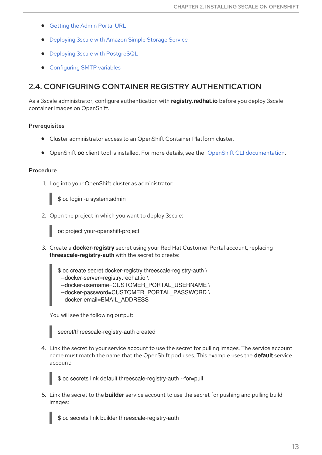- [Getting](https://access.redhat.com/documentation/en-us/red_hat_3scale_api_management/2.10/html-single/installing_3scale/index#getting-admin-portal-url-ocp-template) the Admin Portal URL
- [Deploying](https://access.redhat.com/documentation/en-us/red_hat_3scale_api_management/2.10/html-single/installing_3scale/index#deploying-threescale-with-amazon-s3) 3scale with Amazon Simple Storage Service
- Deploying 3scale with [PostgreSQL](https://access.redhat.com/documentation/en-us/red_hat_3scale_api_management/2.10/html-single/installing_3scale/index#deploying-threescale-with-postgresql)
- [Configuring](https://access.redhat.com/documentation/en-us/red_hat_3scale_api_management/2.10/html-single/installing_3scale/index#configuring-smtp-variables-optional) SMTP variables

## <span id="page-16-0"></span>2.4. CONFIGURING CONTAINER REGISTRY AUTHENTICATION

As a 3scale administrator, configure authentication with **registry.redhat.io** before you deploy 3scale container images on OpenShift.

#### Prerequisites

- Cluster administrator access to an OpenShift Container Platform cluster.
- OpenShift **oc** client tool is installed. For more details, see the OpenShift CLI [documentation](https://docs.openshift.com/container-platform/4.7/cli_reference/openshift_cli/getting-started-cli.html).

### Procedure

1. Log into your OpenShift cluster as administrator:



2. Open the project in which you want to deploy 3scale:

oc project your-openshift-project

- 3. Create a **docker-registry** secret using your Red Hat Customer Portal account, replacing **threescale-registry-auth** with the secret to create:
	- \$ oc create secret docker-registry threescale-registry-auth \
		- --docker-server=registry.redhat.io \
		- --docker-username=CUSTOMER\_PORTAL\_USERNAME \
		- --docker-password=CUSTOMER\_PORTAL\_PASSWORD \
		- --docker-email=EMAIL\_ADDRESS

You will see the following output:



4. Link the secret to your service account to use the secret for pulling images. The service account name must match the name that the OpenShift pod uses. This example uses the **default** service account:



\$ oc secrets link default threescale-registry-auth --for=pull

5. Link the secret to the **builder** service account to use the secret for pushing and pulling build images:

\$ oc secrets link builder threescale-registry-auth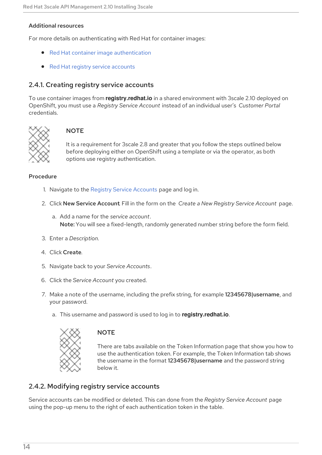#### Additional resources

For more details on authenticating with Red Hat for container images:

- **•** Red Hat container image [authentication](https://access.redhat.com/RegistryAuthentication)
- Red Hat registry service [accounts](https://access.redhat.com/terms-based-registry/)

## <span id="page-17-0"></span>2.4.1. Creating registry service accounts

To use container images from **registry.redhat.io** in a shared environment with 3scale 2.10 deployed on OpenShift, you must use a *Registry Service Account* instead of an individual user's *Customer Portal* credentials.



### **NOTE**

It is a requirement for 3scale 2.8 and greater that you follow the steps outlined below before deploying either on OpenShift using a template or via the operator, as both options use registry authentication.

#### Procedure

- 1. Navigate to the Registry Service [Accounts](https://access.redhat.com/terms-based-registry/) page and log in.
- 2. Click New Service Account. Fill in the form on the *Create a New Registry Service Account* page.
	- a. Add a name for the *service account*. Note: You will see a fixed-length, randomly generated number string before the form field.
- 3. Enter a *Description*.
- 4. Click Create.
- 5. Navigate back to your *Service Accounts*.
- 6. Click the *Service Account* you created.
- 7. Make a note of the username, including the prefix string, for example 12345678|username, and your password.
	- a. This username and password is used to log in to **registry.redhat.io**.



#### **NOTE**

There are tabs available on the Token Information page that show you how to use the authentication token. For example, the Token Information tab shows the username in the format 12345678|username and the password string below it.

## <span id="page-17-1"></span>2.4.2. Modifying registry service accounts

Service accounts can be modified or deleted. This can done from the *Registry Service Account* page using the pop-up menu to the right of each authentication token in the table.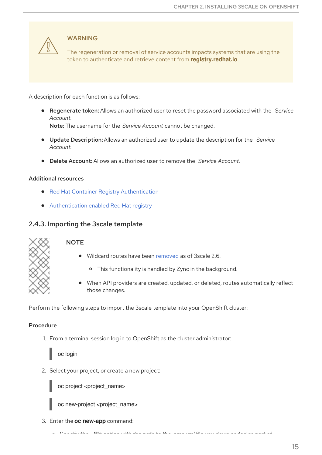

## WARNING

The regeneration or removal of service accounts impacts systems that are using the token to authenticate and retrieve content from **registry.redhat.io**.

A description for each function is as follows:

Regenerate token: Allows an authorized user to reset the password associated with the *Service Account*.

Note: The username for the *Service Account* cannot be changed.

- Update Description:Allows an authorized user to update the description for the *Service Account*.
- Delete Account: Allows an authorized user to remove the *Service Account*.

#### Additional resources

- Red Hat Container Registry [Authentication](https://access.redhat.com/RegistryAuthentication)
- [Authentication](https://docs.openshift.com/container-platform/4.6/registry/registry-options.html#registry-authentication-enabled-registry-overview_registry-options) enabled Red Hat registry

### <span id="page-18-0"></span>2.4.3. Importing the 3scale template

#### **NOTE**

- Wildcard routes have been [removed](https://access.redhat.com/documentation/en-us/red_hat_3scale_api_management/2.6/html-single/release_notes/index#removed_features) as of 3scale 2.6.
	- This functionality is handled by Zync in the background.
- When API providers are created, updated, or deleted, routes automatically reflect those changes.

Perform the following steps to import the 3scale template into your OpenShift cluster:

#### Procedure

1. From a terminal session log in to OpenShift as the cluster administrator:

oc login

2. Select your project, or create a new project:



oc new-project <project\_name>

3. Enter the **oc new-app** command:

a. Specify the **--file** option with the path to the *amp.yml* file you downloaded as part of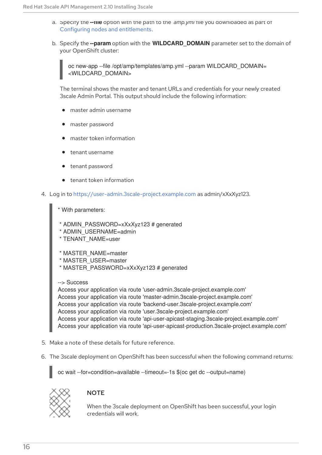- a. Specify the **--file** option with the path to the *amp.yml* file you downloaded as part of Configuring nodes and [entitlements.](https://access.redhat.com/documentation/en-us/red_hat_3scale_api_management/2.10/html-single/installing_3scale/index#configuring-nodes-and-entitlements)
- b. Specify the **--param** option with the **WILDCARD\_DOMAIN** parameter set to the domain of your OpenShift cluster:

oc new-app --file /opt/amp/templates/amp.yml --param WILDCARD\_DOMAIN= <WILDCARD\_DOMAIN>

The terminal shows the master and tenant URLs and credentials for your newly created 3scale Admin Portal. This output should include the following information:

- master admin username
- master password
- master token information
- tenant username
- tenant password
- tenant token information
- 4. Log in to <https://user-admin.3scale-project.example.com> as admin/xXxXyz123.

With parameters:

- \* ADMIN\_PASSWORD=xXxXyz123 # generated
- \* ADMIN\_USERNAME=admin
- \* TENANT\_NAME=user
- \* MASTER\_NAME=master
- \* MASTER\_USER=master
- \* MASTER\_PASSWORD=xXxXyz123 # generated

#### --> Success

Access your application via route 'user-admin.3scale-project.example.com' Access your application via route 'master-admin.3scale-project.example.com' Access your application via route 'backend-user.3scale-project.example.com' Access your application via route 'user.3scale-project.example.com' Access your application via route 'api-user-apicast-staging.3scale-project.example.com' Access your application via route 'api-user-apicast-production.3scale-project.example.com'

- 5. Make a note of these details for future reference.
- 6. The 3scale deployment on OpenShift has been successful when the following command returns:

oc wait --for=condition=available --timeout=-1s \$(oc get dc --output=name)



#### **NOTE**

When the 3scale deployment on OpenShift has been successful, your login credentials will work.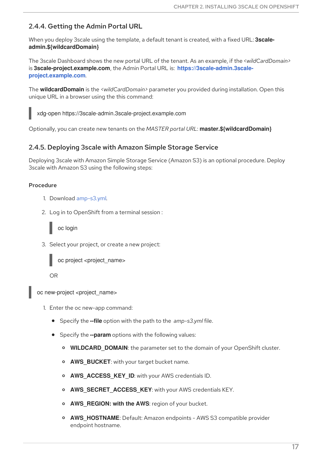## <span id="page-20-2"></span><span id="page-20-0"></span>2.4.4. Getting the Admin Portal URL

When you deploy 3scale using the template, a default tenant is created, with a fixed URL: **3scaleadmin.\${wildcardDomain}**

The 3scale Dashboard shows the new portal URL of the tenant. As an example, if the *<wildCardDomain>* is **3scale-project.example.com**, the Admin Portal URL is: **[https://3scale-admin.3scale](https://3scale-admin.3scale-project.example.com)project.example.com**.

The **wildcardDomain** is the *<wildCardDomain>* parameter you provided during installation. Open this unique URL in a browser using the this command:

xdg-open https://3scale-admin.3scale-project.example.com

Optionally, you can create new tenants on the *MASTER portal URL*: **master.\${wildcardDomain}**

## <span id="page-20-1"></span>2.4.5. Deploying 3scale with Amazon Simple Storage Service

Deploying 3scale with Amazon Simple Storage Service (Amazon S3) is an optional procedure. Deploy 3scale with Amazon S3 using the following steps:

## Procedure

- 1. Download [amp-s3.yml](https://github.com/3scale/3scale-amp-openshift-templates/blob/3scale-2.10.0-GA/amp/amp-s3.yml).
- 2. Log in to OpenShift from a terminal session :



3. Select your project, or create a new project:



oc project <project\_name>

OR

oc new-project <project\_name>

- 1. Enter the oc new-app command:
	- Specify the **--file** option with the path to the *amp-s3.yml* file.
	- Specify the **--param** options with the following values:
		- **WILDCARD\_DOMAIN:** the parameter set to the domain of your OpenShift cluster.
		- **AWS BUCKET:** with your target bucket name.  $\circ$
		- **AWS\_ACCESS\_KEY\_ID**: with your AWS credentials ID.  $\circ$
		- $\circ$ **AWS SECRET ACCESS KEY: with your AWS credentials KEY.**
		- **AWS\_REGION: with the AWS**: region of your bucket.
		- **AWS HOSTNAME:** Default: Amazon endpoints AWS S3 compatible provider endpoint hostname.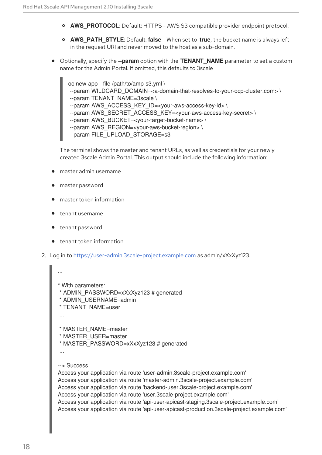- **AWS PROTOCOL:** Default: HTTPS AWS S3 compatible provider endpoint protocol.
- **AWS\_PATH\_STYLE**: Default: **false** When set to **true**, the bucket name is always left in the request URI and never moved to the host as a sub-domain.
- Optionally, specify the **--param** option with the **TENANT\_NAME** parameter to set a custom name for the Admin Portal. If omitted, this defaults to 3scale

oc new-app --file /path/to/amp-s3.yml \

- --param WILDCARD\_DOMAIN=<a-domain-that-resolves-to-your-ocp-cluster.com> \
- --param TENANT\_NAME=3scale \

--param AWS\_ACCESS\_KEY\_ID=<your-aws-access-key-id> \

- --param AWS\_SECRET\_ACCESS\_KEY=<your-aws-access-key-secret> \
- --param AWS\_BUCKET=<your-target-bucket-name> \
- --param AWS\_REGION=<your-aws-bucket-region> \
- --param FILE\_UPLOAD\_STORAGE=s3

The terminal shows the master and tenant URLs, as well as credentials for your newly created 3scale Admin Portal. This output should include the following information:

- master admin username
- master password
- master token information
- tenant username
- tenant password
- tenant token information
- 2. Log in to <https://user-admin.3scale-project.example.com> as admin/xXxXyz123.

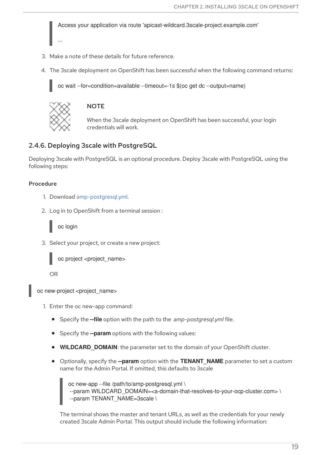Access your application via route 'apicast-wildcard.3scale-project.example.com'

...

- 3. Make a note of these details for future reference.
- 4. The 3scale deployment on OpenShift has been successful when the following command returns:



oc wait --for=condition=available --timeout=-1s \$(oc get dc --output=name)



#### **NOTE**

When the 3scale deployment on OpenShift has been successful, your login credentials will work.

## <span id="page-22-0"></span>2.4.6. Deploying 3scale with PostgreSQL

Deploying 3scale with PostgreSQL is an optional procedure. Deploy 3scale with PostgreSQL using the following steps:

### Procedure

- 1. Download [amp-postgresql.yml.](https://github.com/3scale/3scale-amp-openshift-templates/blob/3scale-2.10.0-GA/amp/amp-postgresql.yml)
- 2. Log in to OpenShift from a terminal session :



3. Select your project, or create a new project:



oc project <project\_name>

OR

oc new-project <project\_name>

- 1. Enter the oc new-app command:
	- Specify the **--file** option with the path to the *amp-postgresql.yml* file.
	- **Specify the --param** options with the following values:
	- **WILDCARD\_DOMAIN:** the parameter set to the domain of your OpenShift cluster.
	- Optionally, specify the **--param** option with the **TENANT\_NAME** parameter to set a custom name for the Admin Portal. If omitted, this defaults to 3scale

oc new-app --file /path/to/amp-postgresql.yml \ --param WILDCARD\_DOMAIN=<a-domain-that-resolves-to-your-ocp-cluster.com> \ --param TENANT\_NAME=3scale \

The terminal shows the master and tenant URLs, as well as the credentials for your newly created 3scale Admin Portal. This output should include the following information: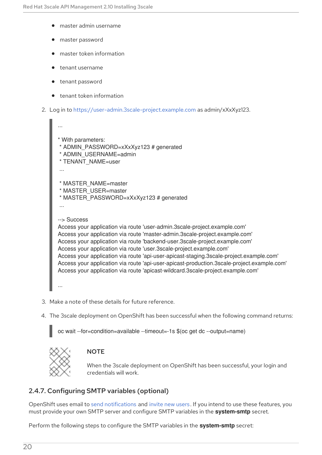- master admin username
- master password
- master token information
- tenant username
- tenant password
- tenant token information
- 2. Log in to <https://user-admin.3scale-project.example.com> as admin/xXxXyz123.

```
...
* With parameters:
* ADMIN_PASSWORD=xXxXyz123 # generated
* ADMIN_USERNAME=admin
* TENANT_NAME=user
...
* MASTER_NAME=master
* MASTER_USER=master
* MASTER_PASSWORD=xXxXyz123 # generated
...
--> Success
Access your application via route 'user-admin.3scale-project.example.com'
Access your application via route 'master-admin.3scale-project.example.com'
Access your application via route 'backend-user.3scale-project.example.com'
Access your application via route 'user.3scale-project.example.com'
Access your application via route 'api-user-apicast-staging.3scale-project.example.com'
Access your application via route 'api-user-apicast-production.3scale-project.example.com'
Access your application via route 'apicast-wildcard.3scale-project.example.com'
...
```
- 3. Make a note of these details for future reference.
- 4. The 3scale deployment on OpenShift has been successful when the following command returns:

oc wait --for=condition=available --timeout=-1s \$(oc get dc --output=name)



## **NOTE**

When the 3scale deployment on OpenShift has been successful, your login and credentials will work.

## <span id="page-23-0"></span>2.4.7. Configuring SMTP variables (optional)

OpenShift uses email to send [notifications](https://access.redhat.com/documentation/en-us/red_hat_3scale_api_management/2.10/html-single/admin_portal_guide/index#notifications) and [invite](https://access.redhat.com/documentation/en-us/red_hat_3scale_api_management/2.10/html-single/admin_portal_guide/index#inviting-users-managing-rights) new users . If you intend to use these features, you must provide your own SMTP server and configure SMTP variables in the **system-smtp** secret.

Perform the following steps to configure the SMTP variables in the **system-smtp** secret: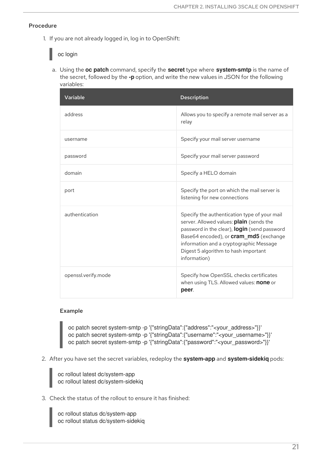## Procedure

1. If you are not already logged in, log in to OpenShift:



a. Using the **oc patch** command, specify the **secret** type where **system-smtp** is the name of the secret, followed by the **-p** option, and write the new values in JSON for the following variables:

| Variable            | <b>Description</b>                                                                                                                                                                                                                                                                           |
|---------------------|----------------------------------------------------------------------------------------------------------------------------------------------------------------------------------------------------------------------------------------------------------------------------------------------|
| address             | Allows you to specify a remote mail server as a<br>relay                                                                                                                                                                                                                                     |
| username            | Specify your mail server username                                                                                                                                                                                                                                                            |
| password            | Specify your mail server password                                                                                                                                                                                                                                                            |
| domain              | Specify a HELO domain                                                                                                                                                                                                                                                                        |
| port                | Specify the port on which the mail server is<br>listening for new connections                                                                                                                                                                                                                |
| authentication      | Specify the authentication type of your mail<br>server. Allowed values: plain (sends the<br>password in the clear), login (send password<br>Base64 encoded), or <b>cram_md5</b> (exchange<br>information and a cryptographic Message<br>Digest 5 algorithm to hash important<br>information) |
| openssl.verify.mode | Specify how OpenSSL checks certificates<br>when using TLS. Allowed values: none or<br>peer.                                                                                                                                                                                                  |

#### Example

oc patch secret system-smtp -p '{"stringData":{"address":"<your\_address>"}}' oc patch secret system-smtp -p '{"stringData":{"username":"<your\_username>"}}' oc patch secret system-smtp -p '{"stringData":{"password":"<your\_password>"}}'

2. After you have set the secret variables, redeploy the **system-app** and **system-sidekiq** pods:

oc rollout latest dc/system-app oc rollout latest dc/system-sidekiq

3. Check the status of the rollout to ensure it has finished:

oc rollout status dc/system-app oc rollout status dc/system-sidekiq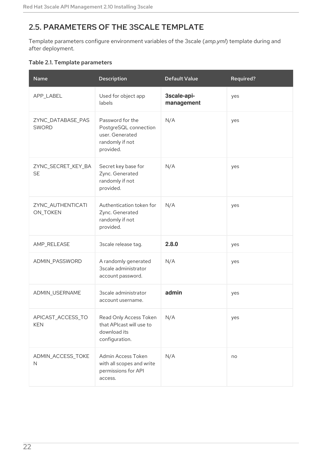## <span id="page-25-0"></span>2.5. PARAMETERS OF THE 3SCALE TEMPLATE

Template parameters configure environment variables of the 3scale (*amp.yml*) template during and after deployment.

|  |  | Table 2.1. Template parameters |
|--|--|--------------------------------|
|--|--|--------------------------------|

| <b>Name</b>                     | <b>Description</b>                                                                           | <b>Default Value</b>      | <b>Required?</b> |
|---------------------------------|----------------------------------------------------------------------------------------------|---------------------------|------------------|
| APP_LABEL                       | Used for object app<br>labels                                                                | 3scale-api-<br>management | yes              |
| ZYNC_DATABASE_PAS<br>SWORD      | Password for the<br>PostgreSQL connection<br>user. Generated<br>randomly if not<br>provided. | N/A                       | yes              |
| ZYNC_SECRET_KEY_BA<br><b>SE</b> | Secret key base for<br>Zync. Generated<br>randomly if not<br>provided.                       | N/A                       | yes              |
| ZYNC_AUTHENTICATI<br>ON_TOKEN   | Authentication token for<br>Zync. Generated<br>randomly if not<br>provided.                  | N/A                       | yes              |
| AMP_RELEASE                     | 3scale release tag.                                                                          | 2.8.0                     | yes              |
| ADMIN_PASSWORD                  | A randomly generated<br>3scale administrator<br>account password.                            | N/A                       | yes              |
| ADMIN_USERNAME                  | 3scale administrator<br>account username.                                                    | admin                     | yes              |
| APICAST_ACCESS_TO<br><b>KEN</b> | Read Only Access Token<br>that APIcast will use to<br>download its<br>configuration.         | N/A                       | yes              |
| ADMIN_ACCESS_TOKE<br>N          | Admin Access Token<br>with all scopes and write<br>permissions for API<br>access.            | N/A                       | no               |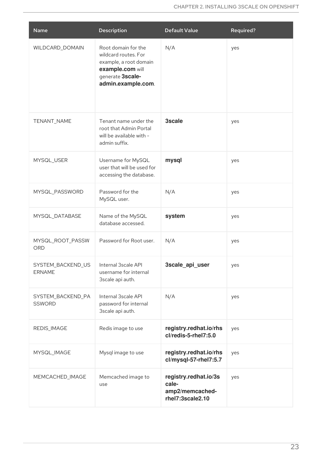<span id="page-26-0"></span>

| Name                               | <b>Description</b>                                                                                                                  | <b>Default Value</b>                                                  | <b>Required?</b> |
|------------------------------------|-------------------------------------------------------------------------------------------------------------------------------------|-----------------------------------------------------------------------|------------------|
| WILDCARD_DOMAIN                    | Root domain for the<br>wildcard routes. For<br>example, a root domain<br>example.com will<br>generate 3scale-<br>admin.example.com. | N/A                                                                   | yes              |
| TENANT_NAME                        | Tenant name under the<br>root that Admin Portal<br>will be available with -<br>admin suffix.                                        | 3scale                                                                | yes              |
| MYSQL_USER                         | Username for MySQL<br>user that will be used for<br>accessing the database.                                                         | mysql                                                                 | yes              |
| MYSQL_PASSWORD                     | Password for the<br>MySQL user.                                                                                                     | N/A                                                                   | yes              |
| MYSQL_DATABASE                     | Name of the MySQL<br>database accessed.                                                                                             | system                                                                | yes              |
| MYSQL_ROOT_PASSW<br>ORD            | Password for Root user.                                                                                                             | N/A                                                                   | yes              |
| SYSTEM_BACKEND_US<br><b>ERNAME</b> | Internal 3scale API<br>username for internal<br>3scale api auth.                                                                    | 3scale_api_user                                                       | yes              |
| SYSTEM_BACKEND_PA<br>SSWORD        | Internal 3scale API<br>password for internal<br>3scale api auth.                                                                    | N/A                                                                   | yes              |
| REDIS_IMAGE                        | Redis image to use                                                                                                                  | registry.redhat.io/rhs<br>cl/redis-5-rhel7:5.0                        | yes              |
| MYSQL_IMAGE                        | Mysql image to use                                                                                                                  | registry.redhat.io/rhs<br>cl/mysql-57-rhel7:5.7                       | yes              |
| MEMCACHED_IMAGE                    | Memcached image to<br>use                                                                                                           | registry.redhat.io/3s<br>cale-<br>amp2/memcached-<br>rhel7:3scale2.10 | yes              |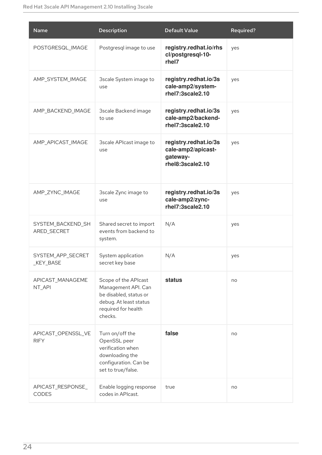| Name                              | Description                                                                                                                       | <b>Default Value</b>                                                        | <b>Required?</b> |
|-----------------------------------|-----------------------------------------------------------------------------------------------------------------------------------|-----------------------------------------------------------------------------|------------------|
| POSTGRESQL_IMAGE                  | Postgresql image to use                                                                                                           | registry.redhat.io/rhs<br>cl/postgresql-10-<br>rhel7                        | yes              |
| AMP_SYSTEM_IMAGE                  | 3scale System image to<br>use                                                                                                     | registry.redhat.io/3s<br>cale-amp2/system-<br>rhel7:3scale2.10              | yes              |
| AMP_BACKEND_IMAGE                 | 3scale Backend image<br>to use                                                                                                    | registry.redhat.io/3s<br>cale-amp2/backend-<br>rhel7:3scale2.10             | yes              |
| AMP_APICAST_IMAGE                 | 3scale APIcast image to<br>use                                                                                                    | registry.redhat.io/3s<br>cale-amp2/apicast-<br>gateway-<br>rhel8:3scale2.10 | yes              |
| AMP_ZYNC_IMAGE                    | 3scale Zync image to<br>use                                                                                                       | registry.redhat.io/3s<br>cale-amp2/zync-<br>rhel7:3scale2.10                | yes              |
| SYSTEM_BACKEND_SH<br>ARED_SECRET  | Shared secret to import<br>events from backend to<br>system.                                                                      | N/A                                                                         | yes              |
| SYSTEM_APP_SECRET<br>_KEY_BASE    | System application<br>secret key base                                                                                             | N/A                                                                         | yes              |
| APICAST_MANAGEME<br>NT_API        | Scope of the APIcast<br>Management API. Can<br>be disabled, status or<br>debug. At least status<br>required for health<br>checks. | status                                                                      | no               |
| APICAST_OPENSSL_VE<br><b>RIFY</b> | Turn on/off the<br>OpenSSL peer<br>verification when<br>downloading the<br>configuration. Can be<br>set to true/false.            | false                                                                       | no               |
| APICAST_RESPONSE_<br>CODES        | Enable logging response<br>codes in APIcast.                                                                                      | true                                                                        | no               |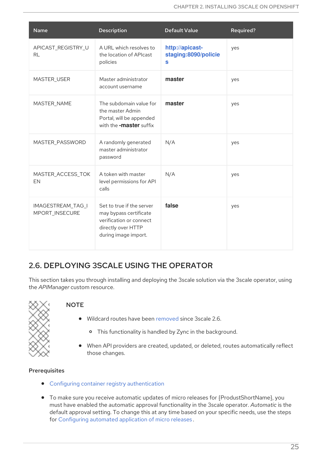| <b>Name</b>                         | <b>Description</b>                                                                                                           | Default Value                                           | <b>Required?</b> |
|-------------------------------------|------------------------------------------------------------------------------------------------------------------------------|---------------------------------------------------------|------------------|
| APICAST_REGISTRY_U<br>RL            | A URL which resolves to<br>the location of APIcast<br>policies                                                               | http://apicast-<br>staging:8090/policie<br>$\mathbf{s}$ | yes              |
| MASTER_USER                         | Master administrator<br>account username                                                                                     | master                                                  | yes              |
| MASTER_NAME                         | The subdomain value for<br>the master Admin<br>Portal, will be appended<br>with the -master suffix                           | master                                                  | yes              |
| MASTER_PASSWORD                     | A randomly generated<br>master administrator<br>password                                                                     | N/A                                                     | yes              |
| MASTER_ACCESS_TOK<br>EN             | A token with master<br>level permissions for API<br>calls                                                                    | N/A                                                     | yes              |
| IMAGESTREAM_TAG_I<br>MPORT_INSECURE | Set to true if the server<br>may bypass certificate<br>verification or connect<br>directly over HTTP<br>during image import. | false                                                   | yes              |

## <span id="page-28-0"></span>2.6. DEPLOYING 3SCALE USING THE OPERATOR

This section takes you through installing and deploying the 3scale solution via the 3scale operator, using the *APIManager* custom resource.



## **NOTE**

- Wildcard routes have been [removed](https://access.redhat.com/documentation/en-us/red_hat_3scale_api_management/2.6/html-single/release_notes/index#removed_features) since 3scale 2.6.
	- This functionality is handled by Zync in the background.
- When API providers are created, updated, or deleted, routes automatically reflect those changes.

## Prerequisites

- **•** Configuring container registry [authentication](#page-20-2)
- To make sure you receive automatic updates of micro releases for {ProdustShortName}, you must have enabled the automatic approval functionality in the 3scale operator. *Automatic* is the default approval setting. To change this at any time based on your specific needs, use the steps for [Configuring](#page-31-0) automated application of micro releases .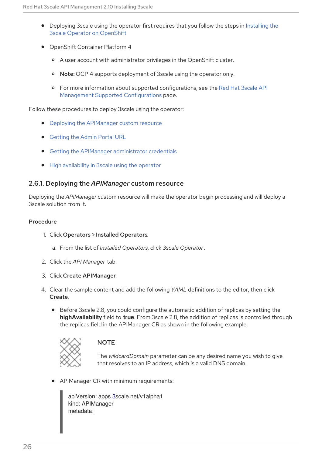- Deploying 3scale using the operator first requires that you follow the steps in Installing the 3scale Operator on [OpenShift](#page-67-1)
- OpenShift Container Platform 4
	- A user account with administrator privileges in the OpenShift cluster.
	- o Note: OCP 4 supports deployment of 3scale using the operator only.
	- For more information about supported [configurations,](https://access.redhat.com/articles/2798521) see the Red Hat 3scale API Management Supported Configurations page.

Follow these procedures to deploy 3scale using the operator:

- Deploying the [APIManager](https://access.redhat.com/documentation/en-us/red_hat_3scale_api_management/2.10/html-single/installing_3scale/index#deploying-apimanager-custom-resource) custom resource
- **•** [Getting](https://access.redhat.com/documentation/en-us/red_hat_3scale_api_management/2.10/html-single/installing_3scale/index#getting-admin-portal-url-ocp-operator) the Admin Portal URL
- Getting the APIManager [administrator](https://access.redhat.com/documentation/en-us/red_hat_3scale_api_management/2.10/html-single/installing_3scale/index#getting-apimanager-administrator-credentials) credentials
- High [availability](https://access.redhat.com/documentation/en-us/red_hat_3scale_api_management/2.10/html-single/installing_3scale/index#high-availability-in-threescale-using-the-operator) in 3scale using the operator

## <span id="page-29-0"></span>2.6.1. Deploying the *APIManager* custom resource

Deploying the *APIManager* custom resource will make the operator begin processing and will deploy a 3scale solution from it.

#### Procedure

- 1. Click Operators > Installed Operators.
	- a. From the list of *Installed Operators*, click *3scale Operator*.
- 2. Click the *API Manager* tab.
- 3. Click Create APIManager.
- 4. Clear the sample content and add the following *YAML* definitions to the editor, then click Create.
	- Before 3scale 2.8, you could configure the automatic addition of replicas by setting the **highAvailability** field to **true**. From 3scale 2.8, the addition of replicas is controlled through the replicas field in the APIManager CR as shown in the following example.



## **NOTE**

The *wildcardDomain* parameter can be any desired name you wish to give that resolves to an IP address, which is a valid DNS domain.

APIManager CR with minimum requirements:

apiVersion: apps.3scale.net/v1alpha1 kind: APIManager metadata: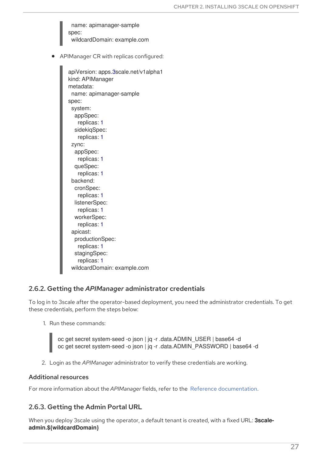<span id="page-30-2"></span>APIManager CR with replicas configured: name: apimanager-sample spec: wildcardDomain: example.com apiVersion: apps.3scale.net/v1alpha1 kind: APIManager metadata: name: apimanager-sample spec: system: appSpec: replicas: 1 sidekiqSpec: replicas: 1 zync: appSpec: replicas: 1 queSpec:

replicas: 1 backend: cronSpec: replicas: 1 listenerSpec: replicas: 1 workerSpec: replicas: 1 apicast: productionSpec: replicas: 1 stagingSpec: replicas: 1

## wildcardDomain: example.com

## <span id="page-30-0"></span>2.6.2. Getting the *APIManager* administrator credentials

To log in to 3scale after the operator-based deployment, you need the administrator credentials. To get these credentials, perform the steps below:

1. Run these commands:

oc get secret system-seed -o json | jq -r .data.ADMIN\_USER | base64 -d oc get secret system-seed -o json | jq -r .data.ADMIN\_PASSWORD | base64 -d

2. Login as the *APIManager* administrator to verify these credentials are working.

#### Additional resources

For more information about the *APIManager* fields, refer to the Reference [documentation.](https://github.com/3scale/3scale-operator/blob/3scale-2.10-stable-prod/doc/apimanager-reference.md)

## <span id="page-30-1"></span>2.6.3. Getting the Admin Portal URL

When you deploy 3scale using the operator, a default tenant is created, with a fixed URL: **3scaleadmin.\${wildcardDomain}**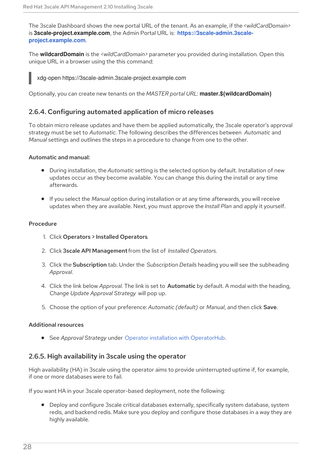The 3scale Dashboard shows the new portal URL of the tenant. As an example, if the *<wildCardDomain>* is **3scale-project.example.com**, the Admin Portal URL is: **[https://3scale-admin.3scale](https://3scale-admin.3scale-project.example.com)project.example.com**.

The **wildcardDomain** is the *<wildCardDomain>* parameter you provided during installation. Open this unique URL in a browser using the this command:

xdg-open https://3scale-admin.3scale-project.example.com

Optionally, you can create new tenants on the *MASTER portal URL*: **master.\${wildcardDomain}**

## <span id="page-31-0"></span>2.6.4. Configuring automated application of micro releases

To obtain micro release updates and have them be applied automatically, the 3scale operator's approval strategy must be set to *Automatic*. The following describes the differences between *Automatic* and *Manual* settings and outlines the steps in a procedure to change from one to the other.

#### Automatic and manual:

- During installation, the *Automatic* setting is the selected option by default. Installation of new updates occur as they become available. You can change this during the install or any time afterwards.
- If you select the *Manual* option during installation or at any time afterwards, you will receive updates when they are available. Next, you must approve the *Install Plan* and apply it yourself.

#### Procedure

- 1. Click Operators > Installed Operators.
- 2. Click 3scale API Management from the list of *Installed Operators*.
- 3. Click the Subscription tab. Under the *Subscription Details* heading you will see the subheading *Approval*.
- 4. Click the link below *Approval*. The link is set to Automatic by default. A modal with the heading, *Change Update Approval Strategy* will pop up.
- 5. Choose the option of your preference: *Automatic (default)* or *Manual*, and then click Save.

#### Additional resources

See *Approval Strategy* under Operator installation with [OperatorHub.](https://docs.openshift.com/container-platform/4.6/operators/admin/olm-adding-operators-to-cluster.html)

## <span id="page-31-1"></span>2.6.5. High availability in 3scale using the operator

High availability (HA) in 3scale using the operator aims to provide uninterrupted uptime if, for example, if one or more databases were to fail.

If you want HA in your 3scale operator-based deployment, note the following:

Deploy and configure 3scale critical databases externally, specifically system database, system redis, and backend redis. Make sure you deploy and configure those databases in a way they are highly available.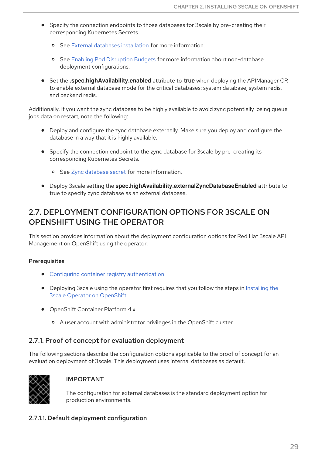- Specify the connection endpoints to those databases for 3scale by pre-creating their corresponding Kubernetes Secrets.
	- See External databases [installation](https://access.redhat.com/documentation/en-us/red_hat_3scale_api_management/2.10/html-single/installing_3scale/index#external_databases_installation) for more information.
	- See Enabling Pod [Disruption](https://github.com/3scale/3scale-operator/blob/3scale-2.10-stable-prod/doc/operator-user-guide.md#enabling-pod-disruption-budgets) Budgets for more information about non-database deployment configurations.
- Set the **.spec.highAvailability.enabled** attribute to **true** when deploying the APIManager CR to enable external database mode for the critical databases: system database, system redis, and backend redis.

Additionally, if you want the zync database to be highly available to avoid zync potentially losing queue jobs data on restart, note the following:

- Deploy and configure the zync database externally. Make sure you deploy and configure the database in a way that it is highly available.
- Specify the connection endpoint to the zync database for 3scale by pre-creating its corresponding Kubernetes Secrets.
	- See Zync [database](#page-36-0) secret for more information.
- Deploy 3scale setting the **spec.highAvailability.externalZyncDatabaseEnabled** attribute to true to specify zync database as an external database.

## <span id="page-32-0"></span>2.7. DEPLOYMENT CONFIGURATION OPTIONS FOR 3SCALE ON OPENSHIFT USING THE OPERATOR

This section provides information about the deployment configuration options for Red Hat 3scale API Management on OpenShift using the operator.

## Prerequisites

- Configuring container registry [authentication](#page-20-2)
- Deploying 3scale using the operator first requires that you follow the steps in Installing the 3scale Operator on [OpenShift](#page-67-1)
- OpenShift Container Platform 4.x
	- A user account with administrator privileges in the OpenShift cluster.

## <span id="page-32-1"></span>2.7.1. Proof of concept for evaluation deployment

The following sections describe the configuration options applicable to the proof of concept for an evaluation deployment of 3scale. This deployment uses internal databases as default.



## IMPORTANT

The configuration for external databases is the standard deployment option for production environments.

## <span id="page-32-2"></span>2.7.1.1. Default deployment configuration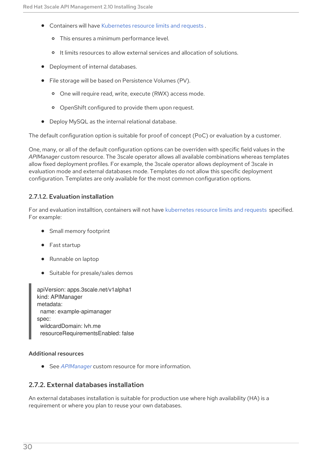- Containers will have [Kubernetes](https://kubernetes.io/docs/concepts/configuration/manage-compute-resources-container/) resource limits and requests .
	- This ensures a minimum performance level.
	- It limits resources to allow external services and allocation of solutions.
- Deployment of internal databases.
- File storage will be based on Persistence Volumes (PV).
	- One will require read, write, execute (RWX) access mode.
	- OpenShift configured to provide them upon request.
- Deploy MySQL as the internal relational database.

The default configuration option is suitable for proof of concept (PoC) or evaluation by a customer.

One, many, or all of the default configuration options can be overriden with specific field values in the *APIManager* custom resource. The 3scale operator allows all available combinations whereas templates allow fixed deployment profiles. For example, the 3scale operator allows deployment of 3scale in evaluation mode and external databases mode. Templates do not allow this specific deployment configuration. Templates are only available for the most common configuration options.

#### <span id="page-33-0"></span>2.7.1.2. Evaluation installation

For and evaluation installtion, containers will not have [kubernetes](https://kubernetes.io/docs/concepts/configuration/manage-compute-resources-container/) resource limits and requests specified. For example:

- **•** Small memory footprint
- Fast startup
- Runnable on laptop
- Suitable for presale/sales demos

```
apiVersion: apps.3scale.net/v1alpha1
kind: APIManager
metadata:
 name: example-apimanager
spec:
 wildcardDomain: lvh.me
 resourceRequirementsEnabled: false
```
#### Additional resources

See *[APIManager](https://github.com/3scale/3scale-operator/tree/3scale-2.10-stable-prod/doc/apimanager-reference.md#apimanager)* custom resource for more information.

## <span id="page-33-1"></span>2.7.2. External databases installation

An external databases installation is suitable for production use where high availability (HA) is a requirement or where you plan to reuse your own databases.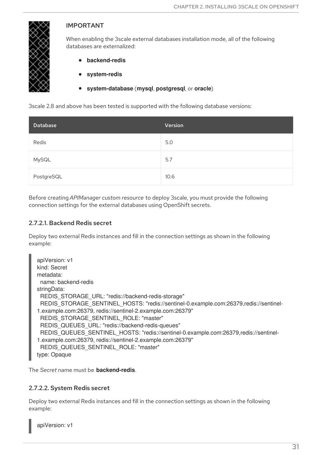

## IMPORTANT

When enabling the 3scale external databases installation mode, all of the following databases are externalized:

- **backend-redis**
- **system-redis**
- **system-database** (**mysql**, **postgresql**, or **oracle**)

3scale 2.8 and above has been tested is supported with the following database versions:

| Database   | Version |
|------------|---------|
| Redis      | 5.0     |
| MySQL      | 5.7     |
| PostgreSQL | 10.6    |

Before creating *APIManager custom resource* to deploy 3scale, you must provide the following connection settings for the external databases using OpenShift secrets.

## <span id="page-34-0"></span>2.7.2.1. Backend Redis secret

Deploy two external Redis instances and fill in the connection settings as shown in the following example:

```
apiVersion: v1
kind: Secret
metadata:
 name: backend-redis
stringData:
 REDIS_STORAGE_URL: "redis://backend-redis-storage"
 REDIS_STORAGE_SENTINEL_HOSTS: "redis://sentinel-0.example.com:26379,redis://sentinel-
1.example.com:26379, redis://sentinel-2.example.com:26379"
 REDIS_STORAGE_SENTINEL_ROLE: "master"
 REDIS_QUEUES_URL: "redis://backend-redis-queues"
 REDIS_QUEUES_SENTINEL_HOSTS: "redis://sentinel-0.example.com:26379,redis://sentinel-
1.example.com:26379, redis://sentinel-2.example.com:26379"
 REDIS_QUEUES_SENTINEL_ROLE: "master"
type: Opaque
```
The *Secret* name must be **backend-redis**.

## <span id="page-34-1"></span>2.7.2.2. System Redis secret

Deploy two external Redis instances and fill in the connection settings as shown in the following example:

apiVersion: v1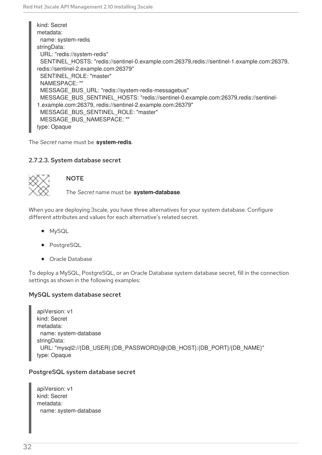| kind: Secret                                                                                |
|---------------------------------------------------------------------------------------------|
| metadata:                                                                                   |
| name: system-redis                                                                          |
| stringData:                                                                                 |
| URL: "redis://system-redis"                                                                 |
| SENTINEL HOSTS: "redis://sentinel-0.example.com:26379,redis://sentinel-1.example.com:26379, |
| redis://sentinel-2.example.com:26379"                                                       |
| SENTINEL ROLE: "master"                                                                     |
| NAMESPACE: ""                                                                               |
| MESSAGE BUS URL: "redis://system-redis-messagebus"                                          |
| MESSAGE_BUS_SENTINEL_HOSTS: "redis://sentinel-0.example.com:26379,redis://sentinel-         |
| 1.example.com:26379, redis://sentinel-2.example.com:26379"                                  |
| MESSAGE BUS SENTINEL ROLE: "master"                                                         |
| <b>MESSAGE BUS NAMESPACE: ""</b>                                                            |
| type: Opaque                                                                                |

The *Secret* name must be **system-redis**.

## <span id="page-35-0"></span>2.7.2.3. System database secret



## **NOTE**

The *Secret* name must be **system-database**.

When you are deploying 3scale, you have three alternatives for your system database. Configure different attributes and values for each alternative's related secret.

- MySQL
- PostgreSQL
- Oracle Database

To deploy a MySQL, PostgreSQL, or an Oracle Database system database secret, fill in the connection settings as shown in the following examples:

## MySQL system database secret

| apiVersion: v1<br>kind: Secret                                        |
|-----------------------------------------------------------------------|
|                                                                       |
| metadata:                                                             |
| name: system-database                                                 |
| stringData:                                                           |
| URL: "mysql2://{DB USER}:{DB PASSWORD}@{DB HOST}:{DB PORT}/{DB NAME}" |
| type: Opaque                                                          |

## PostgreSQL system database secret

apiVersion: v1 kind: Secret metadata: name: system-database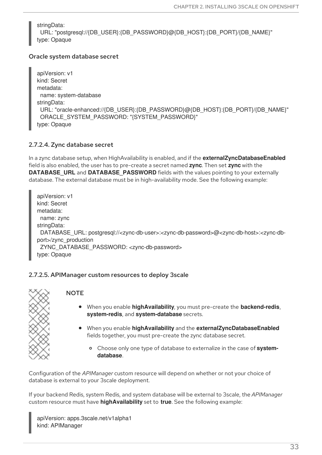stringData:

```
URL: "postgresql://{DB_USER}:{DB_PASSWORD}@{DB_HOST}:{DB_PORT}/{DB_NAME}"
type: Opaque
```
#### Oracle system database secret

```
apiVersion: v1
kind: Secret
metadata:
name: system-database
stringData:
URL: "oracle-enhanced://{DB_USER}:{DB_PASSWORD}@{DB_HOST}:{DB_PORT}/{DB_NAME}"
 ORACLE_SYSTEM_PASSWORD: "{SYSTEM_PASSWORD}"
type: Opaque
```
#### 2.7.2.4. Zync database secret

In a zync database setup, when HighAvailability is enabled, and if the **externalZyncDatabaseEnabled** field is also enabled, the user has to pre-create a secret named **zync**. Then set **zync** with the **DATABASE\_URL** and **DATABASE\_PASSWORD** fields with the values pointing to your externally database. The external database must be in high-availability mode. See the following example:

apiVersion: v1 kind: Secret metadata: name: zync stringData: DATABASE\_URL: postgresql://<zync-db-user>:<zync-db-password>@<zync-db-host>:<zync-dbport>/zync\_production ZYNC\_DATABASE\_PASSWORD: <zync-db-password> type: Opaque

#### 2.7.2.5. APIManager custom resources to deploy 3scale



#### **NOTE**

- When you enable **highAvailability**, you must pre-create the **backend-redis**, **system-redis**, and **system-database** secrets.
- When you enable **highAvailability** and the **externalZyncDatabaseEnabled** fields together, you must pre-create the zync database secret.
	- Choose only one type of database to externalize in the case of **systemdatabase**.

Configuration of the *APIManager* custom resource will depend on whether or not your choice of database is external to your 3scale deployment.

If your backend Redis, system Redis, and system database will be external to 3scale, the *APIManager* custom resource must have **highAvailability** set to **true**. See the following example:

apiVersion: apps.3scale.net/v1alpha1 kind: APIManager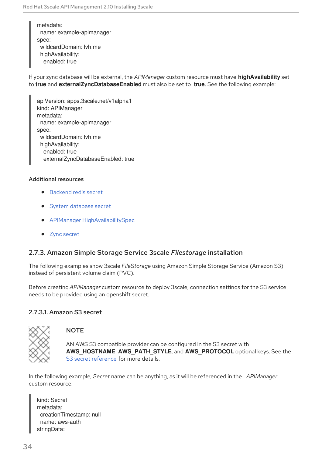metadata: name: example-apimanager spec: wildcardDomain: lvh.me highAvailability: enabled: true

If your zync database will be external, the *APIManager* custom resource must have **highAvailability** set to **true** and **externalZyncDatabaseEnabled** must also be set to **true**. See the following example:

apiVersion: apps.3scale.net/v1alpha1 kind: APIManager metadata: name: example-apimanager spec: wildcardDomain: lvh.me highAvailability: enabled: true externalZyncDatabaseEnabled: true

#### Additional resources

- [Backend](https://github.com/3scale/3scale-operator/tree/3scale-2.10-stable-prod/doc/apimanager-reference.md#backend-redis) redis secret
- **System [database](https://github.com/3scale/3scale-operator/tree/3scale-2.10-stable-prod/doc/apimanager-reference.md#system-database) secret**
- APIManager [HighAvailabilitySpec](https://github.com/3scale/3scale-operator/blob/3scale-2.10-stable-prod/doc/apimanager-reference.md#HighAvailabilitySpec)
- Zync [secret](https://github.com/3scale/3scale-operator/blob/3scale-2.10-stable-prod/doc/apimanager-reference.md#zync)

#### 2.7.3. Amazon Simple Storage Service 3scale *Filestorage* installation

The following examples show 3scale *FileStorage* using Amazon Simple Storage Service (Amazon S3) instead of persistent volume claim (PVC).

Before creating *APIManager* custom resource to deploy 3scale, connection settings for the S3 service needs to be provided using an openshift secret.

#### 2.7.3.1. Amazon S3 secret



#### **NOTE**

AN AWS S3 compatible provider can be configured in the S3 secret with **AWS\_HOSTNAME**, **AWS\_PATH\_STYLE**, and **AWS\_PROTOCOL** optional keys. See the S3 secret [reference](https://github.com/3scale/3scale-operator/blob/3scale-2.10-stable-prod/doc/apimanager-reference.md#fileStorage-S3-credentials-secret) for more details.

In the following example, *Secret* name can be anything, as it will be referenced in the *APIManager* custom resource.

kind: Secret metadata: creationTimestamp: null name: aws-auth stringData: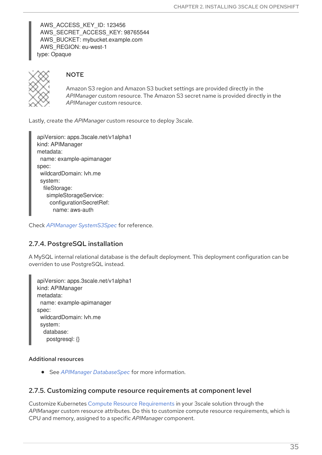AWS\_ACCESS\_KEY\_ID: 123456 AWS\_SECRET\_ACCESS\_KEY: 98765544 AWS\_BUCKET: mybucket.example.com AWS\_REGION: eu-west-1 type: Opaque



### **NOTE**

Amazon S3 region and Amazon S3 bucket settings are provided directly in the *APIManager* custom resource. The Amazon S3 secret name is provided directly in the *APIManager* custom resource.

Lastly, create the *APIManager* custom resource to deploy 3scale.

apiVersion: apps.3scale.net/v1alpha1 kind: APIManager metadata: name: example-apimanager spec: wildcardDomain: lvh.me system: fileStorage: simpleStorageService: configurationSecretRef: name: aws-auth

Check *APIManager [SystemS3Spec](https://github.com/3scale/3scale-operator/tree/3scale-2.10-stable-prod/doc/apimanager-reference.md#systems3spec)* for reference.

## 2.7.4. PostgreSQL installation

A MySQL internal relational database is the default deployment. This deployment configuration can be overriden to use PostgreSQL instead.

```
apiVersion: apps.3scale.net/v1alpha1
kind: APIManager
metadata:
 name: example-apimanager
spec:
 wildcardDomain: lvh.me
 system:
  database:
   postgresql: {}
```
#### Additional resources

See *APIManager [DatabaseSpec](https://github.com/3scale/3scale-operator/blob/3scale-2.10-stable-prod/doc/apimanager-reference.md#DatabaseSpec)* for more information.

#### 2.7.5. Customizing compute resource requirements at component level

Customize Kubernetes Compute Resource [Requirements](https://kubernetes.io/docs/concepts/configuration/manage-resources-containers) in your 3scale solution through the *APIManager* custom resource attributes. Do this to customize compute resource requirements, which is CPU and memory, assigned to a specific *APIManager* component.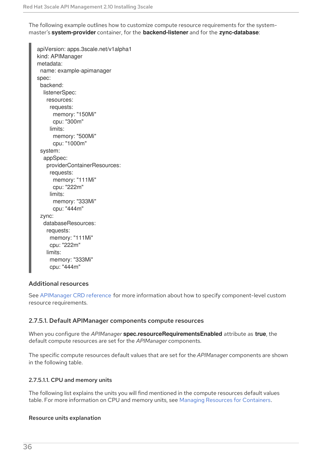The following example outlines how to customize compute resource requirements for the systemmaster's **system-provider** container, for the **backend-listener** and for the **zync-database**:

apiVersion: apps.3scale.net/v1alpha1 kind: APIManager metadata: name: example-apimanager spec: backend: listenerSpec: resources: requests: memory: "150Mi" cpu: "300m" limits: memory: "500Mi" cpu: "1000m" system: appSpec: providerContainerResources: requests: memory: "111Mi" cpu: "222m" limits: memory: "333Mi" cpu: "444m" zync: databaseResources: requests: memory: "111Mi" cpu: "222m" limits: memory: "333Mi" cpu: "444m"

#### Additional resources

See [APIManager](https://github.com/3scale/3scale-operator/blob/3scale-2.10-stable-prod/doc/apimanager-reference.md) CRD reference for more information about how to specify component-level custom resource requirements.

#### 2.7.5.1. Default APIManager components compute resources

When you configure the *APIManager* **spec.resourceRequirementsEnabled** attribute as **true**, the default compute resources are set for the *APIManager* components.

The specific compute resources default values that are set for the *APIManager* components are shown in the following table.

#### 2.7.5.1.1. CPU and memory units

The following list explains the units you will find mentioned in the compute resources default values table. For more information on CPU and memory units, see Managing Resources for [Containers](https://kubernetes.io/docs/concepts/configuration/manage-resources-containers).

#### Resource units explanation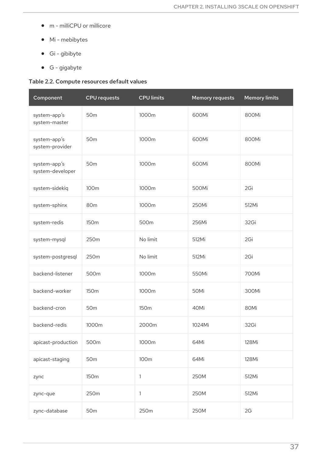- m milliCPU or millicore
- Mi mebibytes
- Gi gibibyte
- G gigabyte

### Table 2.2. Compute resources default values

| Component                        | <b>CPU requests</b> | <b>CPU limits</b> | <b>Memory requests</b> | <b>Memory limits</b> |
|----------------------------------|---------------------|-------------------|------------------------|----------------------|
| system-app's<br>system-master    | 50 <sub>m</sub>     | 1000m             | 600Mi                  | 800Mi                |
| system-app's<br>system-provider  | 50 <sub>m</sub>     | 1000m             | 600Mi                  | 800Mi                |
| system-app's<br>system-developer | 50 <sub>m</sub>     | 1000m             | 600Mi                  | 800Mi                |
| system-sidekiq                   | 100m                | 1000m             | 500Mi                  | 2Gi                  |
| system-sphinx                    | 80m                 | 1000m             | 250Mi                  | 512Mi                |
| system-redis                     | 150 <sub>m</sub>    | 500m              | 256Mi                  | 32Gi                 |
| system-mysql                     | 250m                | No limit          | 512Mi                  | 2Gi                  |
| system-postgresql                | 250m                | No limit          | 512Mi                  | 2Gi                  |
| backend-listener                 | 500m                | 1000m             | 550Mi                  | 700Mi                |
| backend-worker                   | 150m                | 1000m             | 50Mi                   | 300Mi                |
| backend-cron                     | 50 <sub>m</sub>     | 150 <sub>m</sub>  | 40Mi                   | 80Mi                 |
| backend-redis                    | 1000m               | 2000m             | 1024Mi                 | 32Gi                 |
| apicast-production               | 500m                | 1000m             | 64Mi                   | 128Mi                |
| apicast-staging                  | 50 <sub>m</sub>     | 100m              | 64Mi                   | 128Mi                |
| zync                             | 150m                | $\mathbf{1}$      | 250M                   | 512Mi                |
| zync-que                         | 250m                | 1                 | 250M                   | 512Mi                |
| zync-database                    | 50 <sub>m</sub>     | 250m              | 250M                   | 2G                   |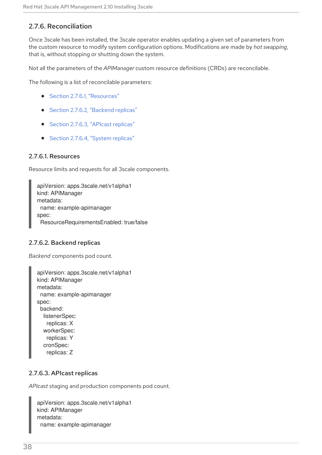## 2.7.6. Reconciliation

Once 3scale has been installed, the 3scale operator enables updating a given set of parameters from the custom resource to modify system configuration options. Modifications are made by *hot swapping*, that is, without stopping or shutting down the system.

Not all the parameters of the *APIManager* custom resource definitions (CRDs) are reconcilable.

The following is a list of reconcilable parameters:

- Section 2.7.6.1, ["Resources"](#page-41-0)
- Section 2.7.6.2, ["Backend](#page-41-1) replicas"
- Section 2.7.6.3, ["APIcast](#page-41-2) replicas"
- Section 2.7.6.4, "System [replicas"](#page-42-0)

#### <span id="page-41-0"></span>2.7.6.1. Resources

Resource limits and requests for all 3scale components.

```
apiVersion: apps.3scale.net/v1alpha1
kind: APIManager
metadata:
 name: example-apimanager
spec:
 ResourceRequirementsEnabled: true/false
```
#### <span id="page-41-1"></span>2.7.6.2. Backend replicas

*Backend* components pod count.

```
apiVersion: apps.3scale.net/v1alpha1
kind: APIManager
metadata:
name: example-apimanager
spec:
 backend:
  listenerSpec:
   replicas: X
  workerSpec:
   replicas: Y
  cronSpec:
   replicas: Z
```
#### <span id="page-41-2"></span>2.7.6.3. APIcast replicas

*APIcast* staging and production components pod count.

```
apiVersion: apps.3scale.net/v1alpha1
kind: APIManager
metadata:
 name: example-apimanager
```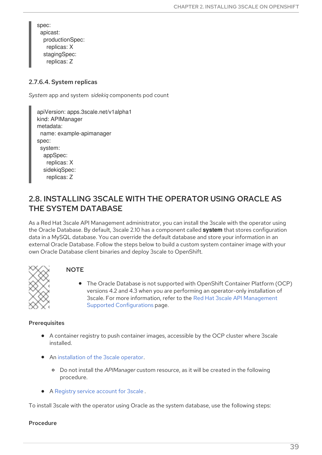spec: apicast: productionSpec: replicas: X stagingSpec: replicas: Z

#### <span id="page-42-0"></span>2.7.6.4. System replicas

*System* app and system *sidekiq* components pod count

| apiVersion: apps.3scale.net/v1alpha1<br>kind: APIManager<br>metadata: |
|-----------------------------------------------------------------------|
|                                                                       |
| name: example-apimanager                                              |
| spec:                                                                 |
| system:                                                               |
| appSpec:                                                              |
| replicas: X                                                           |
| sidekiqSpec:                                                          |
| replicas: Z                                                           |
|                                                                       |

## 2.8. INSTALLING 3SCALE WITH THE OPERATOR USING ORACLE AS THE SYSTEM DATABASE

As a Red Hat 3scale API Management administrator, you can install the 3scale with the operator using the Oracle Database. By default, 3scale 2.10 has a component called **system** that stores configuration data in a MySQL database. You can override the default database and store your information in an external Oracle Database. Follow the steps below to build a custom system container image with your own Oracle Database client binaries and deploy 3scale to OpenShift.



#### **NOTE**

The Oracle Database is not supported with OpenShift Container Platform (OCP) versions 4.2 and 4.3 when you are performing an operator-only installation of 3scale. For more information, refer to the Red Hat 3scale API Management Supported [Configurations](https://access.redhat.com/articles/2798521) page.

#### **Prerequisites**

- A container registry to push container images, accessible by the OCP cluster where 3scale installed.
- An [installation](https://access.redhat.com/documentation/en-us/red_hat_3scale_api_management/2.10/html-single/installing_3scale/index#installing-threescale-operator-on-openshift) of the 3scale operator.
	- Do not install the *APIManager* custom resource, as it will be created in the following procedure.
- A [Registry](https://access.redhat.com/documentation/en-us/red_hat_3scale_api_management/2.10/html-single/installing_3scale/index#registry-service-accounts-threescale-on-openshift) service account for 3scale .

To install 3scale with the operator using Oracle as the system database, use the following steps:

#### Procedure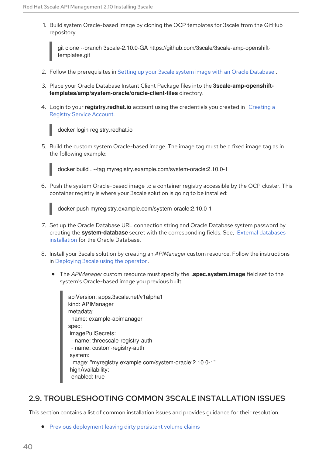1. Build system Oracle-based image by cloning the OCP templates for 3scale from the GitHub repository.

git clone --branch 3scale-2.10.0-GA https://github.com/3scale/3scale-amp-openshifttemplates.git

- 2. Follow the prerequisites in Setting up your 3scale system image with an Oracle [Database](https://access.redhat.com/documentation/en-us/red_hat_3scale_api_management/2.10/html-single/installing_3scale/index#setting-up-threescale-with-oracle-database) .
- 3. Place your Oracle Database Instant Client Package files into the **3scale-amp-openshifttemplates/amp/system-oracle/oracle-client-files** directory.
- 4. Login to your **[registry.redhat.io](https://access.redhat.com/documentation/en-us/red_hat_3scale_api_management/2.10/html-single/installing_3scale/index#creating-a-registry-service-account)** account using the credentials you created in Creating a Registry Service Account.

docker login registry.redhat.io

5. Build the custom system Oracle-based image. The image tag must be a fixed image tag as in the following example:



docker build . --tag myregistry.example.com/system-oracle:2.10.0-1

6. Push the system Oracle-based image to a container registry accessible by the OCP cluster. This container registry is where your 3scale solution is going to be installed:

docker push myregistry.example.com/system-oracle:2.10.0-1

- 7. Set up the Oracle Database URL connection string and Oracle Database system password by creating the **[system-database](https://access.redhat.com/documentation/en-us/red_hat_3scale_api_management/2.10/html-single/installing_3scale/index#external_databases_installation)** secret with the corresponding fields. See, External databases installation for the Oracle Database.
- 8. Install your 3scale solution by creating an *APIManager* custom resource. Follow the instructions in [Deploying](https://access.redhat.com/documentation/en-us/red_hat_3scale_api_management/2.10/html-single/installing_3scale/index#deploying-threescale-using-the-operator) 3scale using the operator.
	- The *APIManager* custom resource must specify the **.spec.system.image** field set to the system's Oracle-based image you previous built:

apiVersion: apps.3scale.net/v1alpha1 kind: APIManager metadata: name: example-apimanager spec: imagePullSecrets: - name: threescale-registry-auth - name: custom-registry-auth system: image: "myregistry.example.com/system-oracle:2.10.0-1" highAvailability: enabled: true

## 2.9. TROUBLESHOOTING COMMON 3SCALE INSTALLATION ISSUES

This section contains a list of common installation issues and provides guidance for their resolution.

**•** Previous [deployment](https://access.redhat.com/documentation/en-us/red_hat_3scale_api_management/2.10/html-single/installing_3scale/index#previous-deployment-leaves-dirty-persistent-volume-claims) leaving dirty persistent volume claims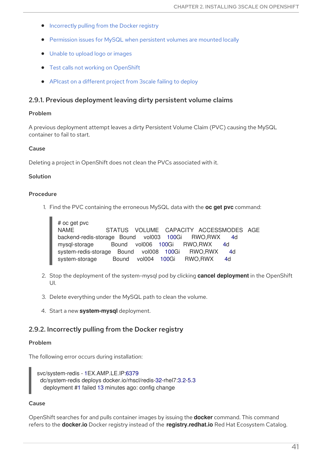- **•** [Incorrectly](https://access.redhat.com/documentation/en-us/red_hat_3scale_api_management/2.10/html-single/installing_3scale/index#incorrectly-pulling-from-the-docker-registry) pulling from the Docker registry
- [Permission](https://access.redhat.com/documentation/en-us/red_hat_3scale_api_management/2.10/html-single/installing_3scale/index#permissions-issues-for-mysql-when-persistent-volumes-are-mounted-locally) issues for MySQL when persistent volumes are mounted locally
- Unable to upload logo or [images](https://access.redhat.com/documentation/en-us/red_hat_3scale_api_management/2.10/html-single/installing_3scale/index#unable-to-upload-logo-or-images)
- **•** Test calls not working on [OpenShift](https://access.redhat.com/documentation/en-us/red_hat_3scale_api_management/2.10/html-single/installing_3scale/index#create-secure-routes-on-openshift)
- APIcast on a [different](https://access.redhat.com/documentation/en-us/red_hat_3scale_api_management/2.10/html-single/installing_3scale/index#apicast-on-a-different-project-from-threescale-fails-to-deploy) project from 3scale failing to deploy

#### 2.9.1. Previous deployment leaving dirty persistent volume claims

#### Problem

A previous deployment attempt leaves a dirty Persistent Volume Claim (PVC) causing the MySQL container to fail to start.

#### Cause

Deleting a project in OpenShift does not clean the PVCs associated with it.

#### Solution

#### Procedure

1. Find the PVC containing the erroneous MySQL data with the **oc get pvc** command:

# oc get pvc NAME STATUS VOLUME CAPACITY ACCESSMODES AGE backend-redis-storage Bound vol003 100Gi RWO,RWX 4d mysql-storage Bound vol006 100Gi RWO,RWX 4d system-redis-storage Bound vol008 100Gi RWO,RWX 4d system-storage Bound vol004 100Gi RWO,RWX 4d

- 2. Stop the deployment of the system-mysql pod by clicking **cancel deployment** in the OpenShift UI.
- 3. Delete everything under the MySQL path to clean the volume.
- 4. Start a new **system-mysql** deployment.

#### 2.9.2. Incorrectly pulling from the Docker registry

#### Problem

The following error occurs during installation:

svc/system-redis - 1EX.AMP.LE.IP:6379 dc/system-redis deploys docker.io/rhscl/redis-32-rhel7:3.2-5.3 deployment #1 failed 13 minutes ago: config change

#### Cause

OpenShift searches for and pulls container images by issuing the **docker** command. This command refers to the **docker.io** Docker registry instead of the **registry.redhat.io** Red Hat Ecosystem Catalog.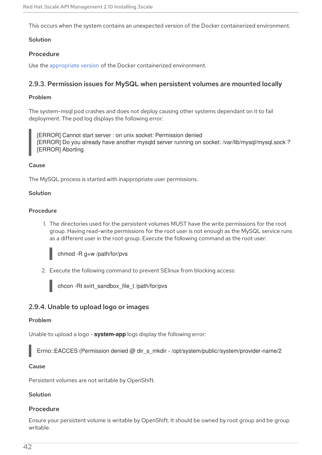This occurs when the system contains an unexpected version of the Docker containerized environment.

#### Solution

#### Procedure

Use the [appropriate](http://rhelblog.redhat.com/2015/04/15/understanding-the-changes-to-docker-search-and-docker-pull-in-red-hat-enterprise-linux-7-1/) version of the Docker containerized environment.

### 2.9.3. Permission issues for MySQL when persistent volumes are mounted locally

#### Problem

The system-msql pod crashes and does not deploy causing other systems dependant on it to fail deployment. The pod log displays the following error:

[ERROR] Cannot start server : on unix socket: Permission denied [ERROR] Do you already have another mysqld server running on socket: /var/lib/mysql/mysql.sock ? [ERROR] Aborting

#### Cause

The MySQL process is started with inappropriate user permissions.

#### Solution

#### Procedure

1. The directories used for the persistent volumes MUST have the write permissions for the root group. Having read-write permissions for the root user is not enough as the MySQL service runs as a different user in the root group. Execute the following command as the root user:



2. Execute the following command to prevent SElinux from blocking access:



#### 2.9.4. Unable to upload logo or images

#### Problem

Unable to upload a logo - **system-app** logs display the following error:

Errno::EACCES (Permission denied @ dir\_s\_mkdir - /opt/system/public//system/provider-name/2

#### Cause

Persistent volumes are not writable by OpenShift.

#### Solution

#### Procedure

Ensure your persistent volume is writable by OpenShift. It should be owned by root group and be group writable.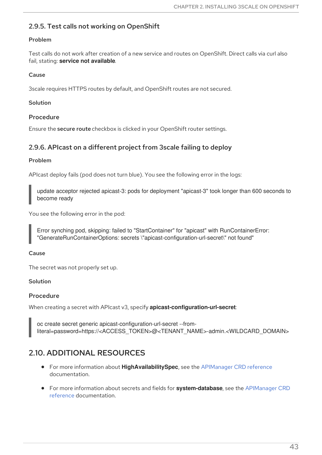## 2.9.5. Test calls not working on OpenShift

#### Problem

Test calls do not work after creation of a new service and routes on OpenShift. Direct calls via curl also fail, stating: **service not available**.

#### Cause

3scale requires HTTPS routes by default, and OpenShift routes are not secured.

#### Solution

#### **Procedure**

Ensure the secure route checkbox is clicked in your OpenShift router settings.

## 2.9.6. APIcast on a different project from 3scale failing to deploy

#### Problem

APIcast deploy fails (pod does not turn blue). You see the following error in the logs:

update acceptor rejected apicast-3: pods for deployment "apicast-3" took longer than 600 seconds to become ready

You see the following error in the pod:

Error synching pod, skipping: failed to "StartContainer" for "apicast" with RunContainerError: "GenerateRunContainerOptions: secrets \"apicast-configuration-url-secret\" not found"

#### Cause

The secret was not properly set up.

#### Solution

#### Procedure

When creating a secret with APIcast v3, specify **apicast-configuration-url-secret**:

oc create secret generic apicast-configuration-url-secret --fromliteral=password=https://<ACCESS\_TOKEN>@<TENANT\_NAME>-admin.<WILDCARD\_DOMAIN>

## 2.10. ADDITIONAL RESOURCES

- **•** For more information about **HighAvailabilitySpec**, see the [APIManager](https://github.com/3scale/3scale-operator/blob/3scale-2.10-stable-prod/doc/apimanager-reference.md#HighAvailabilitySpec) CRD reference documentation.
- For more information about secrets and fields for **[system-database](https://github.com/3scale/3scale-operator/blob/3scale-2.10-stable-prod/doc/apimanager-reference.md#system-database)**, see the APIManager CRD reference documentation.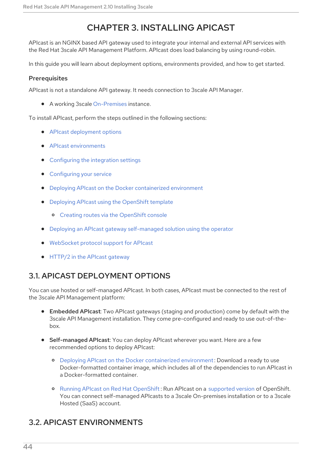# CHAPTER 3. INSTALLING APICAST

APIcast is an NGINX based API gateway used to integrate your internal and external API services with the Red Hat 3scale API Management Platform. APIcast does load balancing by using round-robin.

In this guide you will learn about deployment options, environments provided, and how to get started.

#### **Prerequisites**

APIcast is not a standalone API gateway. It needs connection to 3scale API Manager.

A working 3scale [On-Premises](https://access.redhat.com/documentation/en-us/red_hat_3scale_api_management/2.10/html-single/installing_3scale/index#install-threescale-on-openshift-guide) instance.

To install APIcast, perform the steps outlined in the following sections:

- APIcast [deployment](#page-47-0) options
- APIcast [environments](#page-48-0)
- [Configuring](#page-48-1) the integration settings
- **•** [Configuring](#page-50-0) your service
- Deploying APIcast on the Docker [containerized](#page-53-0) environment
- Deploying APIcast using the [OpenShift](#page-57-0) template
	- Creating routes via the [OpenShift](#page-58-0) console
- Deploying an APIcast gateway [self-managed](#page-62-0) solution using the operator
- [WebSocket](#page-64-0) protocol support for APIcast
- **•** HTTP/2 in the APIcast [gateway](#page-65-0)

## <span id="page-47-0"></span>3.1. APICAST DEPLOYMENT OPTIONS

You can use hosted or self-managed APIcast. In both cases, APIcast must be connected to the rest of the 3scale API Management platform:

- Embedded APIcast: Two APIcast gateways (staging and production) come by default with the 3scale API Management installation. They come pre-configured and ready to use out-of-thebox.
- Self-managed APIcast: You can deploy APIcast wherever you want. Here are a few recommended options to deploy APIcast:
	- Deploying APIcast on the Docker [containerized](https://access.redhat.com/documentation/en-us/red_hat_3scale_api_management/2.10/html-single/installing_3scale/index#deploying-apicast-on-the-docker-containerized-environment) environment: Download a ready to use Docker-formatted container image, which includes all of the dependencies to run APIcast in a Docker-formatted container.
	- **o** Running APIcast on Red Hat [OpenShift](https://access.redhat.com/documentation/en-us/red_hat_3scale_api_management/2.10/html-single/installing_3scale/index#running-apicast-on-red-hat-openshift): Run APIcast on a [supported](https://access.redhat.com/articles/2798521) version of OpenShift. You can connect self-managed APIcasts to a 3scale On-premises installation or to a 3scale Hosted (SaaS) account.

## 3.2. APICAST ENVIRONMENTS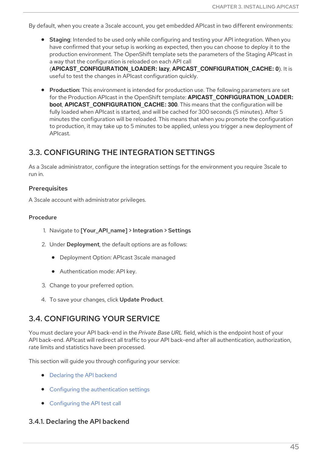<span id="page-48-0"></span>By default, when you create a 3scale account, you get embedded APIcast in two different environments:

- **Staging:** Intended to be used only while configuring and testing your API integration. When you have confirmed that your setup is working as expected, then you can choose to deploy it to the production environment. The OpenShift template sets the parameters of the Staging APIcast in a way that the configuration is reloaded on each API call (**APICAST\_CONFIGURATION\_LOADER: lazy**, **APICAST\_CONFIGURATION\_CACHE: 0**). It is useful to test the changes in APIcast configuration quickly.
- Production: This environment is intended for production use. The following parameters are set for the Production APIcast in the OpenShift template: **APICAST\_CONFIGURATION\_LOADER: boot, APICAST\_CONFIGURATION\_CACHE: 300**. This means that the configuration will be fully loaded when APIcast is started, and will be cached for 300 seconds (5 minutes). After 5 minutes the configuration will be reloaded. This means that when you promote the configuration to production, it may take up to 5 minutes to be applied, unless you trigger a new deployment of APIcast.

## <span id="page-48-1"></span>3.3. CONFIGURING THE INTEGRATION SETTINGS

As a 3scale administrator, configure the integration settings for the environment you require 3scale to run in.

#### **Prerequisites**

A 3scale account with administrator privileges.

#### Procedure

- 1. Navigate to [Your\_API\_name] > Integration > Settings.
- 2. Under Deployment, the default options are as follows:
	- Deployment Option: APIcast 3scale managed
	- Authentication mode: API key.
- 3. Change to your preferred option.
- 4. To save your changes, click Update Product.

## 3.4. CONFIGURING YOUR SERVICE

You must declare your API back-end in the *Private Base URL* field, which is the endpoint host of your API back-end. APIcast will redirect all traffic to your API back-end after all authentication, authorization, rate limits and statistics have been processed.

This section will guide you through configuring your service:

- [Declaring](https://access.redhat.com/documentation/en-us/red_hat_3scale_api_management/2.10/html-single/installing_3scale/index#declaring-api-backend) the API backend
- Configuring the [authentication](https://access.redhat.com/documentation/en-us/red_hat_3scale_api_management/2.10/html-single/installing_3scale/index#configuring-the-authentication-settings) settings
- [Configuring](https://access.redhat.com/documentation/en-us/red_hat_3scale_api_management/2.10/html-single/installing_3scale/index#configuring-api-test-call) the API test call

#### 3.4.1. Declaring the API backend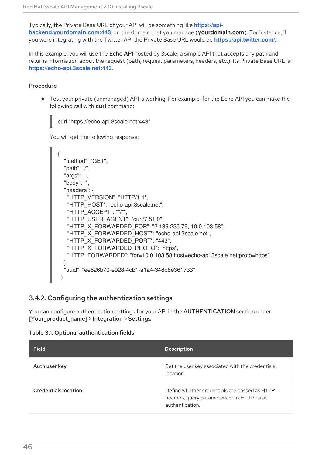Typically, the Private Base URL of your API will be something like **https://api[backend.yourdomain.com:443](https://api-backend.yourdomain.com:443)**, on the domain that you manage (**yourdomain.com**). For instance, if you were integrating with the Twitter API the Private Base URL would be **<https://api.twitter.com/>**.

In this example, you will use the Echo API hosted by 3scale, a simple API that accepts any path and returns information about the request (path, request parameters, headers, etc.). Its Private Base URL is **<https://echo-api.3scale.net:443>**.

#### Procedure

Test your private (unmanaged) API is working. For example, for the Echo API you can make the following call with **curl** command:



curl "https://echo-api.3scale.net:443"

You will get the following response:

{ "method": "GET", "path": "/", "args": "", "body": "", "headers": { "HTTP\_VERSION": "HTTP/1.1", "HTTP\_HOST": "echo-api.3scale.net", "HTTP\_ACCEPT": "\*/\*", "HTTP\_USER\_AGENT": "curl/7.51.0", "HTTP\_X\_FORWARDED\_FOR": "2.139.235.79, 10.0.103.58", "HTTP\_X\_FORWARDED\_HOST": "echo-api.3scale.net", "HTTP X FORWARDED PORT": "443", "HTTP X FORWARDED PROTO": "https", "HTTP\_FORWARDED": "for=10.0.103.58;host=echo-api.3scale.net;proto=https" }, "uuid": "ee626b70-e928-4cb1-a1a4-348b8e361733" }

#### 3.4.2. Configuring the authentication settings

You can configure authentication settings for your API in the **AUTHENTICATION** section under [Your\_product\_name] > Integration > Settings.

|  | Table 3.1. Optional authentication fields |
|--|-------------------------------------------|
|--|-------------------------------------------|

| Field                       | <b>Description</b>                                                                                             |
|-----------------------------|----------------------------------------------------------------------------------------------------------------|
| Auth user key               | Set the user key associated with the credentials<br>location.                                                  |
| <b>Credentials location</b> | Define whether credentials are passed as HTTP<br>headers, query parameters or as HTTP basic<br>authentication. |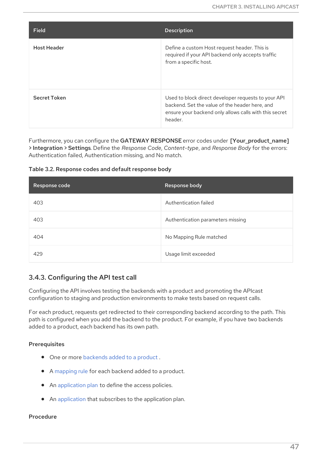<span id="page-50-0"></span>

| <b>Field</b>        | <b>Description</b>                                                                                                                                                         |
|---------------------|----------------------------------------------------------------------------------------------------------------------------------------------------------------------------|
| <b>Host Header</b>  | Define a custom Host request header. This is<br>required if your API backend only accepts traffic<br>from a specific host.                                                 |
| <b>Secret Token</b> | Used to block direct developer requests to your API<br>backend. Set the value of the header here, and<br>ensure your backend only allows calls with this secret<br>header. |

Furthermore, you can configure the GATEWAY RESPONSE error codes under [Your\_product\_name] > Integration > Settings. Define the *Response Code*, *Content-type*, and *Response Body* for the errors: Authentication failed, Authentication missing, and No match.

#### Table 3.2. Response codes and default response body

| Response code | Response body                     |
|---------------|-----------------------------------|
| 403           | Authentication failed             |
| 403           | Authentication parameters missing |
| 404           | No Mapping Rule matched           |
| 429           | Usage limit exceeded              |

## 3.4.3. Configuring the API test call

Configuring the API involves testing the backends with a product and promoting the APIcast configuration to staging and production environments to make tests based on request calls.

For each product, requests get redirected to their corresponding backend according to the path. This path is configured when you add the backend to the product. For example, if you have two backends added to a product, each backend has its own path.

#### **Prerequisites**

- One or more [backends](https://access.redhat.com/documentation/en-us/red_hat_3scale_api_management/2.10/html-single/getting_started/index#creating-backends-for-your-products_configuring-your-api) added to a product.
- A [mapping](https://access.redhat.com/documentation/en-us/red_hat_3scale_api_management/2.10/html-single/getting_started/index#defining-mapping-rules_configuring-your-api) rule for each backend added to a product.
- An [application](https://access.redhat.com/documentation/en-us/red_hat_3scale_api_management/2.10/html-single/getting_started/index#creating-threescale-application-plans-for-products_configuring-your-api) plan to define the access policies.
- An [application](https://access.redhat.com/documentation/en-us/red_hat_3scale_api_management/2.10/html-single/getting_started/index#creating-applications-for-default-account-test-api-calls_configuring-your-api) that subscribes to the application plan.

#### Procedure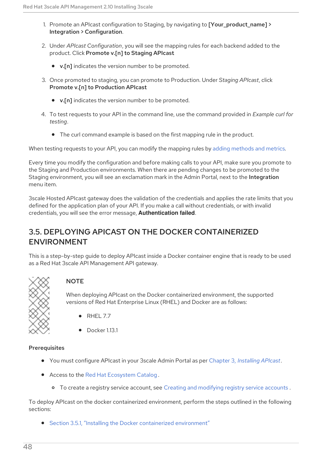- 1. Promote an APIcast configuration to Staging, by navigating to [Your\_product\_name] > Integration > Configuration.
- 2. Under *APIcast Configuration*, you will see the mapping rules for each backend added to the product. Click Promote v.[n] to Staging APIcast.
	- v.[n] indicates the version number to be promoted.
- 3. Once promoted to staging, you can promote to Production. Under *Staging APIcast*, click Promote v.[n] to Production APIcast.
	- v.[n] indicates the version number to be promoted.
- 4. To test requests to your API in the command line, use the command provided in *Example curl for testing*.
	- The curl command example is based on the first mapping rule in the product.

When testing requests to your API, you can modify the mapping rules by adding [methods](https://access.redhat.com/documentation/en-us/red_hat_3scale_api_management/2.10/html-single/admin_portal_guide/index#designating-methods-and-adding-metrics-for-capturing-usage-details_methods-and-metrics-for-products-and-backends) and metrics.

Every time you modify the configuration and before making calls to your API, make sure you promote to the Staging and Production environments. When there are pending changes to be promoted to the Staging environment, you will see an exclamation mark in the Admin Portal, next to the Integration menu item.

3scale Hosted APIcast gateway does the validation of the credentials and applies the rate limits that you defined for the application plan of your API. If you make a call without credentials, or with invalid credentials, you will see the error message, **Authentication failed**.

## 3.5. DEPLOYING APICAST ON THE DOCKER CONTAINERIZED ENVIRONMENT

This is a step-by-step guide to deploy APIcast inside a Docker container engine that is ready to be used as a Red Hat 3scale API Management API gateway.



#### **NOTE**

When deploying APIcast on the Docker containerized environment, the supported versions of Red Hat Enterprise Linux (RHEL) and Docker are as follows:

- RHEL 7.7
- Docker 1.13.1

#### **Prerequisites**

- You must configure APIcast in your 3scale Admin Portal as per Chapter 3, *[Installing](#page-56-0) APIcast*.
- Access to the Red Hat [Ecosystem](https://registry.redhat.io) Catalog .
	- To create a registry service account, see Creating and [modifying](https://access.redhat.com/documentation/en-us/red_hat_3scale_api_management/2.10/html-single/installing_3scale/index#creating-a-registry-service-account) registry service accounts .

To deploy APIcast on the docker containerized environment, perform the steps outlined in the following sections:

● Section 3.5.1, "Installing the Docker [containerized](#page-52-0) environment"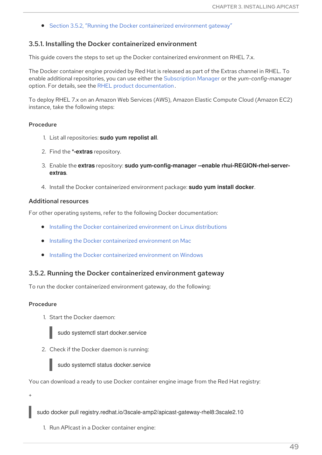Section 3.5.2, "Running the Docker [containerized](#page-53-1) environment gateway"

#### <span id="page-52-0"></span>3.5.1. Installing the Docker containerized environment

This guide covers the steps to set up the Docker containerized environment on RHEL 7.x.

The Docker container engine provided by Red Hat is released as part of the Extras channel in RHEL. To enable additional repositories, you can use either the [Subscription](https://access.redhat.com/solutions/392003) Manager or the *yum-config-manager* option. For details, see the RHEL product [documentation](https://access.redhat.com/documentation/en-US/Red_Hat_Enterprise_Linux/7/html/System_Administrators_Guide/sec-Configuring_Yum_and_Yum_Repositories.html#sec-Managing_Yum_Repositories) .

To deploy RHEL 7.x on an Amazon Web Services (AWS), Amazon Elastic Compute Cloud (Amazon EC2) instance, take the following steps:

#### Procedure

- 1. List all repositories: **sudo yum repolist all**.
- 2. Find the **\*-extras** repository.
- 3. Enable the **extras** repository: **sudo yum-config-manager --enable rhui-REGION-rhel-serverextras**.
- 4. Install the Docker containerized environment package: **sudo yum install docker**.

#### Additional resources

For other operating systems, refer to the following Docker documentation:

- **•** Installing the Docker [containerized](https://docs.docker.com/engine/installation/linux/) environment on Linux distributions
- **Installing the Docker [containerized](https://docs.docker.com/docker-for-mac/) environment on Mac**
- **•** Installing the Docker [containerized](https://docs.docker.com/docker-for-windows/) environment on Windows

#### 3.5.2. Running the Docker containerized environment gateway

To run the docker containerized environment gateway, do the following:

#### Procedure

+

1. Start the Docker daemon:



2. Check if the Docker daemon is running:



You can download a ready to use Docker container engine image from the Red Hat registry:

sudo docker pull registry.redhat.io/3scale-amp2/apicast-gateway-rhel8:3scale2.10

1. Run APIcast in a Docker container engine: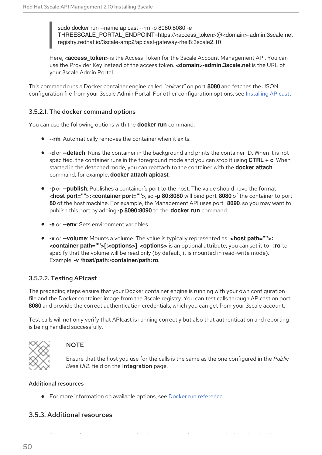<span id="page-53-1"></span><span id="page-53-0"></span>sudo docker run --name apicast --rm -p 8080:8080 -e THREESCALE\_PORTAL\_ENDPOINT=https://<access\_token>@<domain>-admin.3scale.net registry.redhat.io/3scale-amp2/apicast-gateway-rhel8:3scale2.10

Here, **<access\_token>** is the Access Token for the 3scale Account Management API. You can use the Provider Key instead of the access token. **<domain>-admin.3scale.net** is the URL of your 3scale Admin Portal.

This command runs a Docker container engine called *"apicast"* on port **8080** and fetches the JSON configuration file from your 3scale Admin Portal. For other configuration options, see [Installing](https://access.redhat.com/documentation/en-us/red_hat_3scale_api_management/2.10/html-single/installing_3scale/index#installing-apicast) APIcast.

#### 3.5.2.1. The docker command options

You can use the following options with the **docker run** command:

- **--rm**: Automatically removes the container when it exits.
- **-d** or **--detach**: Runs the container in the background and prints the container ID. When it is not specified, the container runs in the foreground mode and you can stop it using **CTRL + c**. When started in the detached mode, you can reattach to the container with the **docker attach** command, for example, **docker attach apicast**.
- **-p** or **--publish**: Publishes a container's port to the host. The value should have the format **<host port="">:<container port="">**, so **-p 80:8080** will bind port **8080** of the container to port **80** of the host machine. For example, the Management API uses port **8090**, so you may want to publish this port by adding **-p 8090:8090** to the **docker run** command.
- **-e** or **--env**: Sets environment variables.
- **-v** or **--volume**: Mounts a volume. The value is typically represented as **<host path="">: <container path="">[:<options>]**. **<options>** is an optional attribute; you can set it to **:ro** to specify that the volume will be read only (by default, it is mounted in read-write mode). Example: **-v /host/path:/container/path:ro**.

#### 3.5.2.2. Testing APIcast

The preceding steps ensure that your Docker container engine is running with your own configuration file and the Docker container image from the 3scale registry. You can test calls through APIcast on port **8080** and provide the correct authentication credentials, which you can get from your 3scale account.

Test calls will not only verify that APIcast is running correctly but also that authentication and reporting is being handled successfully.

For more information about tested and supported configuration, see Red Hat 3scale API



#### **NOTE**

Ensure that the host you use for the calls is the same as the one configured in the *Public Base URL* field on the Integration page.

#### Additional resources

For more information on available options, see Docker run [reference](https://docs.docker.com/engine/reference/run/).

#### 3.5.3. Additional resources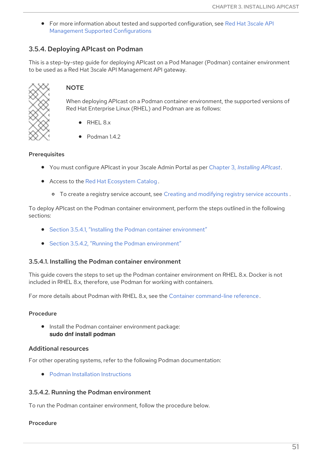For more information about tested and supported configuration, see Red Hat 3scale API Management Supported [Configurations](https://access.redhat.com/articles/2798521)

## 3.5.4. Deploying APIcast on Podman

This is a step-by-step guide for deploying APIcast on a Pod Manager (Podman) container environment to be used as a Red Hat 3scale API Management API gateway.



#### **NOTE**

When deploying APIcast on a Podman container environment, the supported versions of Red Hat Enterprise Linux (RHEL) and Podman are as follows:

- RHEL 8.x
- Podman 1.4.2

#### **Prerequisites**

- You must configure APIcast in your 3scale Admin Portal as per Chapter 3, *[Installing](#page-56-0) APIcast*.
- Access to the Red Hat [Ecosystem](https://registry.redhat.io) Catalog .
	- To create a registry service account, see Creating and [modifying](https://access.redhat.com/documentation/en-us/red_hat_3scale_api_management/2.10/html-single/installing_3scale/index#creating-a-registry-service-account) registry service accounts .

To deploy APIcast on the Podman container environment, perform the steps outlined in the following sections:

- **•** Section 3.5.4.1, "Installing the Podman container [environment"](#page-54-0)
- Section 3.5.4.2, "Running the Podman [environment"](#page-55-0)

#### <span id="page-54-0"></span>3.5.4.1. Installing the Podman container environment

This guide covers the steps to set up the Podman container environment on RHEL 8.x. Docker is not included in RHEL 8.x, therefore, use Podman for working with containers.

For more details about Podman with RHEL 8.x, see the Container [command-line](https://access.redhat.com/documentation/en-us/red_hat_enterprise_linux/8/html-single/building_running_and_managing_containers/index#container-command-line-reference_building-running-and-managing-containers) reference.

#### Procedure

**•** Install the Podman container environment package: **sudo dnf install podman**

#### Additional resources

For other operating systems, refer to the following Podman documentation:

• Podman Installation [Instructions](https://podman.io/getting-started/installation)

#### 3.5.4.2. Running the Podman environment

To run the Podman container environment, follow the procedure below.

#### Procedure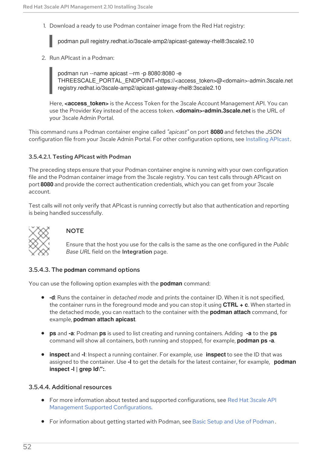<span id="page-55-0"></span>1. Download a ready to use Podman container image from the Red Hat registry:

podman pull registry.redhat.io/3scale-amp2/apicast-gateway-rhel8:3scale2.10

2. Run APIcast in a Podman:

podman run --name apicast --rm -p 8080:8080 -e THREESCALE\_PORTAL\_ENDPOINT=https://<access\_token>@<domain>-admin.3scale.net registry.redhat.io/3scale-amp2/apicast-gateway-rhel8:3scale2.10

Here, <**access token>** is the Access Token for the 3scale Account Management API. You can use the Provider Key instead of the access token. **<domain>-admin.3scale.net** is the URL of your 3scale Admin Portal.

This command runs a Podman container engine called *"apicast"* on port **8080** and fetches the JSON configuration file from your 3scale Admin Portal. For other configuration options, see [Installing](https://access.redhat.com/documentation/en-us/red_hat_3scale_api_management/2.10/html-single/installing_3scale/index#installing-apicast) APIcast.

#### 3.5.4.2.1. Testing APIcast with Podman

The preceding steps ensure that your Podman container engine is running with your own configuration file and the Podman container image from the 3scale registry. You can test calls through APIcast on port **8080** and provide the correct authentication credentials, which you can get from your 3scale account.

Test calls will not only verify that APIcast is running correctly but also that authentication and reporting is being handled successfully.



#### **NOTE**

Ensure that the host you use for the calls is the same as the one configured in the *Public Base URL* field on the Integration page.

#### 3.5.4.3. The **podman** command options

You can use the following option examples with the **podman** command:

- **-d**: Runs the container in *detached mode* and prints the container ID. When it is not specified, the container runs in the foreground mode and you can stop it using **CTRL + c**. When started in the detached mode, you can reattach to the container with the **podman attach** command, for example, **podman attach apicast**.
- **ps** and **-a**: Podman **ps** is used to list creating and running containers. Adding **-a** to the **ps** command will show all containers, both running and stopped, for example, **podman ps -a**.
- **inspect** and **-l**: Inspect a running container. For example, use **inspect** to see the ID that was assigned to the container. Use **-l** to get the details for the latest container, for example, **podman inspect -l | grep Id\":**.

#### 3.5.4.4. Additional resources

- For more information about tested and supported configurations, see Red Hat 3scale API Management Supported [Configurations.](https://access.redhat.com/articles/2798521)
- For information about getting started with Podman, see Basic Setup and Use of [Podman](https://podman.io/getting-started/) .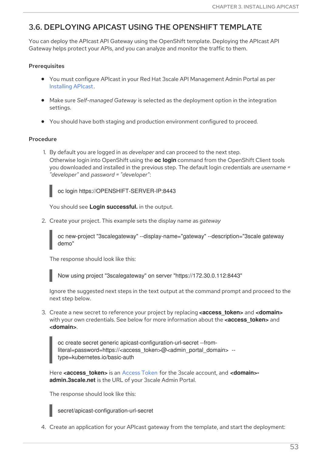## <span id="page-56-0"></span>3.6. DEPLOYING APICAST USING THE OPENSHIFT TEMPLATE

You can deploy the APIcast API Gateway using the OpenShift template. Deploying the APIcast API Gateway helps protect your APIs, and you can analyze and monitor the traffic to them.

#### **Prerequisites**

- You must configure APIcast in your Red Hat 3scale API Management Admin Portal as per [Installing](#page-56-0) APIcast.
- Make sure *Self-managed Gateway* is selected as the deployment option in the integration settings.
- You should have both staging and production environment configured to proceed.

#### Procedure

1. By default you are logged in as *developer* and can proceed to the next step. Otherwise login into OpenShift using the **oc login** command from the OpenShift Client tools you downloaded and installed in the previous step. The default login credentials are *username = "developer"* and *password = "developer"*:

oc login https://OPENSHIFT-SERVER-IP:8443

You should see **Login successful.** in the output.

2. Create your project. This example sets the display name as *gateway*

oc new-project "3scalegateway" --display-name="gateway" --description="3scale gateway demo"

The response should look like this:

Now using project "3scalegateway" on server "https://172.30.0.112:8443"

Ignore the suggested next steps in the text output at the command prompt and proceed to the next step below.

3. Create a new secret to reference your project by replacing **<access\_token>** and **<domain>** with your own credentials. See below for more information about the **<access\_token>** and **<domain>**.

oc create secret generic apicast-configuration-url-secret --fromliteral=password=https://<access\_token>@<admin\_portal\_domain> -type=kubernetes.io/basic-auth

Here **<access token>** is an [Access](https://access.redhat.com/documentation/en-us/red_hat_3scale_api_management/2.10/html-single/admin_portal_guide/index#creating-access-tokens) Token for the 3scale account, and **<domain>admin.3scale.net** is the URL of your 3scale Admin Portal.

The response should look like this:

secret/apicast-configuration-url-secret

4. Create an application for your APIcast gateway from the template, and start the deployment: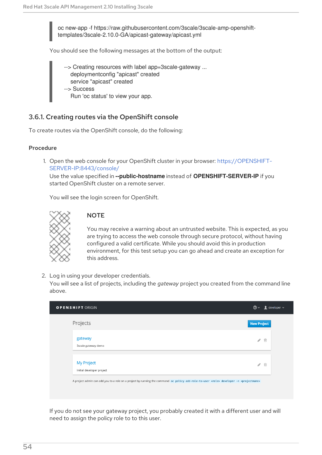<span id="page-57-0"></span>oc new-app -f https://raw.githubusercontent.com/3scale/3scale-amp-openshifttemplates/3scale-2.10.0-GA/apicast-gateway/apicast.yml

You should see the following messages at the bottom of the output:

--> Creating resources with label app=3scale-gateway ... deploymentconfig "apicast" created service "apicast" created --> Success Run 'oc status' to view your app.

#### 3.6.1. Creating routes via the OpenShift console

To create routes via the OpenShift console, do the following:

#### Procedure

1. Open the web console for your OpenShift cluster in your browser: https://OPENSHIFT-[SERVER-IP:8443/console/](https://openshift-server-ip:8443/console/)

Use the value specified in **--public-hostname** instead of **OPENSHIFT-SERVER-IP** if you started OpenShift cluster on a remote server.

You will see the login screen for OpenShift.



#### **NOTE**

You may receive a warning about an untrusted website. This is expected, as you are trying to access the web console through secure protocol, without having configured a valid certificate. While you should avoid this in production environment, for this test setup you can go ahead and create an exception for this address.

2. Log in using your developer credentials.

You will see a list of projects, including the *gateway* project you created from the command line above.

| <b>OPENSHIFT ORIGIN</b>                                                                                                                                     | ⊚∼<br>t developer v |
|-------------------------------------------------------------------------------------------------------------------------------------------------------------|---------------------|
| Projects                                                                                                                                                    | <b>New Project</b>  |
| gateway<br>3scale gateway demo                                                                                                                              | 画<br>P.             |
| <b>My Project</b><br>Initial developer project                                                                                                              | 画<br>$\mathscr{P}$  |
| A project admin can add you to a role on a project by running the command oc policy add-role-to-user <role> developer -n <projectname></projectname></role> |                     |

If you do not see your gateway project, you probably created it with a different user and will need to assign the policy role to to this user.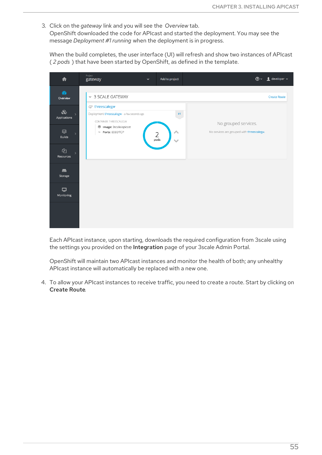<span id="page-58-0"></span>3. Click on the *gateway* link and you will see the *Overview* tab. OpenShift downloaded the code for APIcast and started the deployment. You may see the message *Deployment #1 running* when the deployment is in progress.

When the build completes, the user interface (UI) will refresh and show two instances of APIcast ( *2 pods* ) that have been started by OpenShift, as defined in the template.



Each APIcast instance, upon starting, downloads the required configuration from 3scale using the settings you provided on the Integration page of your 3scale Admin Portal.

OpenShift will maintain two APIcast instances and monitor the health of both; any unhealthy APIcast instance will automatically be replaced with a new one.

4. To allow your APIcast instances to receive traffic, you need to create a route. Start by clicking on Create Route.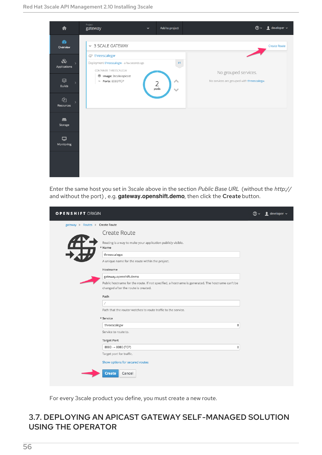

Enter the same host you set in 3scale above in the section *Public Base URL* (without the *http://* and without the port) , e.g. **gateway.openshift.demo**, then click the Create button.

| <b>OPENSHIFT ORIGIN</b>         |                                                                                                                                        | $(2)$ v <b>t</b> developer v |
|---------------------------------|----------------------------------------------------------------------------------------------------------------------------------------|------------------------------|
| gateway » Routes » Create Route |                                                                                                                                        |                              |
|                                 | Create Route                                                                                                                           |                              |
|                                 | Routing is a way to make your application publicly visible.<br>* Name                                                                  |                              |
|                                 | threescalegw                                                                                                                           |                              |
|                                 | A unique name for the route within the project.                                                                                        |                              |
|                                 | Hostname                                                                                                                               |                              |
|                                 | gateway.openshift.demo                                                                                                                 |                              |
|                                 | Public hostname for the route. If not specified, a hostname is generated. The hostname can't be<br>changed after the route is created. |                              |
|                                 | Path                                                                                                                                   |                              |
|                                 |                                                                                                                                        |                              |
|                                 | Path that the router watches to route traffic to the service.                                                                          |                              |
|                                 | * Service                                                                                                                              |                              |
|                                 | threescalegw<br>÷                                                                                                                      |                              |
|                                 | Service to route to.                                                                                                                   |                              |
|                                 | <b>Target Port</b>                                                                                                                     |                              |
|                                 | $8080 \rightarrow 8080$ (TCP)<br>÷                                                                                                     |                              |
|                                 | Target port for traffic.                                                                                                               |                              |
|                                 | Show options for secured routes                                                                                                        |                              |
|                                 | Cancel<br><b>Create</b>                                                                                                                |                              |

For every 3scale product you define, you must create a new route.

## 3.7. DEPLOYING AN APICAST GATEWAY SELF-MANAGED SOLUTION USING THE OPERATOR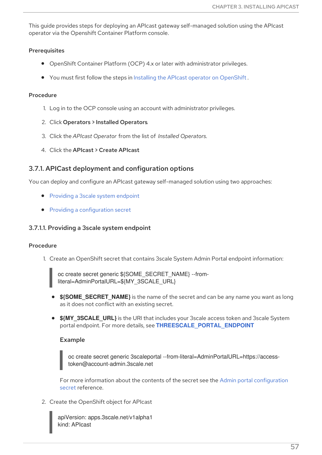This guide provides steps for deploying an APIcast gateway self-managed solution using the APIcast operator via the Openshift Container Platform console.

#### Prerequisites

- OpenShift Container Platform (OCP) 4.x or later with administrator privileges.
- You must first follow the steps in Installing the APIcast operator on [OpenShift](https://access.redhat.com/documentation/en-us/red_hat_3scale_api_management/2.10/html-single/installing_3scale/index#installing-the-apicast-operator-on-openshift) .

#### Procedure

- 1. Log in to the OCP console using an account with administrator privileges.
- 2. Click Operators > Installed Operators.
- 3. Click the *APIcast Operator* from the list of *Installed Operators*.
- 4. Click the APIcast > Create APIcast.

#### 3.7.1. APICast deployment and configuration options

You can deploy and configure an APIcast gateway self-managed solution using two approaches:

- **•** [Providing](https://access.redhat.com/documentation/en-us/red_hat_3scale_api_management/2.10/html-single/installing_3scale/index#providing-3cale-porta-endpoint) a 3scale system endpoint
- Providing a [configuration](https://access.redhat.com/documentation/en-us/red_hat_3scale_api_management/2.10/html-single/installing_3scale/index#providing-configuration-secret) secret

#### 3.7.1.1. Providing a 3scale system endpoint

#### Procedure

1. Create an OpenShift secret that contains 3scale System Admin Portal endpoint information:

oc create secret generic \${SOME\_SECRET\_NAME} --fromliteral=AdminPortalURL=\${MY\_3SCALE\_URL}

- **\${SOME\_SECRET\_NAME}** is the name of the secret and can be any name you want as long as it does not conflict with an existing secret.
- **\${MY\_3SCALE\_URL}** is the URI that includes your 3scale access token and 3scale System portal endpoint. For more details, see **[THREESCALE\\_PORTAL\\_ENDPOINT](https://access.redhat.com/documentation/en-us/red_hat_3scale_api_management/2.10/html-single/administering_the_api_gateway/index#threescale-portal-endpoint)**

#### Example

oc create secret generic 3scaleportal --from-literal=AdminPortalURL=https://accesstoken@account-admin.3scale.net

For more information about the contents of the secret see the Admin portal [configuration](https://github.com/3scale/apicast-operator/blob/3scale-2.10-stable/doc/apicast-crd-reference.md#AdminPortalSecret) secret reference.

2. Create the OpenShift object for APIcast

apiVersion: apps.3scale.net/v1alpha1 kind: APIcast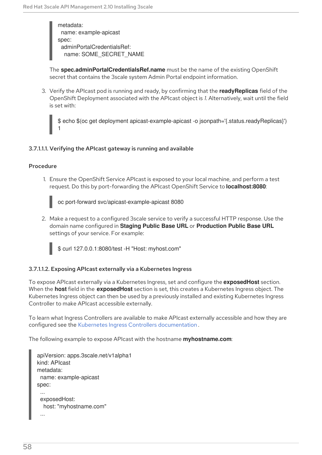metadata: name: example-apicast spec: adminPortalCredentialsRef: name: SOME\_SECRET\_NAME

The **spec.adminPortalCredentialsRef.name** must be the name of the existing OpenShift secret that contains the 3scale system Admin Portal endpoint information.

3. Verify the APIcast pod is running and ready, by confirming that the **readyReplicas** field of the OpenShift Deployment associated with the APIcast object is *1*. Alternatively, wait until the field is set with:

\$ echo \$(oc get deployment apicast-example-apicast -o jsonpath='{.status.readyReplicas}') 1

#### 3.7.1.1.1. Verifying the APIcast gateway is running and available

#### Procedure

1. Ensure the OpenShift Service APIcast is exposed to your local machine, and perform a test request. Do this by port-forwarding the APIcast OpenShift Service to **localhost:8080**:

oc port-forward svc/apicast-example-apicast 8080

2. Make a request to a configured 3scale service to verify a successful HTTP response. Use the domain name configured in **Staging Public Base URL** or **Production Public Base URL** settings of your service. For example:

\$ curl 127.0.0.1:8080/test -H "Host: myhost.com"

#### 3.7.1.1.2. Exposing APIcast externally via a Kubernetes Ingress

To expose APIcast externally via a Kubernetes Ingress, set and configure the **exposedHost** section. When the **host** field in the **exposedHost** section is set, this creates a Kubernetes Ingress object. The Kubernetes Ingress object can then be used by a previously installed and existing Kubernetes Ingress Controller to make APIcast accessible externally.

To learn what Ingress Controllers are available to make APIcast externally accessible and how they are configured see the Kubernetes Ingress Controllers [documentation](https://kubernetes.io/docs/concepts/services-networking/ingress-controllers) .

The following example to expose APIcast with the hostname **myhostname.com**:

```
apiVersion: apps.3scale.net/v1alpha1
kind: APIcast
metadata:
 name: example-apicast
spec:
 ...
 exposedHost:
  host: "myhostname.com"
 ...
```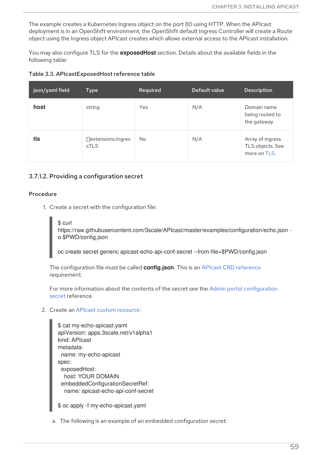<span id="page-62-0"></span>The example creates a Kubernetes Ingress object on the port 80 using HTTP. When the APIcast deployment is in an OpenShift environment, the OpenShift default Ingress Controller will create a Route object using the Ingress object APIcast creates which allows external access to the APIcast installation.

You may also configure TLS for the **exposedHost** section. Details about the available fields in the following table:

Table 3.3. APIcastExposedHost reference table

| json/yaml field | <b>Type</b>                 | Required | Default value | <b>Description</b>                                   |
|-----------------|-----------------------------|----------|---------------|------------------------------------------------------|
| host            | string                      | Yes      | N/A           | Domain name<br>being routed to<br>the gateway        |
| tls             | []extensions.Ingres<br>sTLS | No       | N/A           | Array of ingress<br>TLS objects. See<br>more on TLS. |

#### 3.7.1.2. Providing a configuration secret

#### Procedure

1. Create a secret with the configuration file:

\$ curl

https://raw.githubusercontent.com/3scale/APIcast/master/examples/configuration/echo.json o \$PWD/config.json

oc create secret generic apicast-echo-api-conf-secret --from-file=\$PWD/config.json

The configuration file must be called **config.json**. This is an APIcast CRD [reference](https://github.com/3scale/apicast-operator/blob/3scale-2.10-stable/doc/apicast-crd-reference.md#embeddedconfsecret) requirement.

For more information about the contents of the secret see the Admin portal [configuration](https://github.com/3scale/apicast-operator/blob/3scale-2.10-stable/doc/apicast-crd-reference.md#embeddedconfsecret) secret reference.

2. Create an APIcast custom [resource:](https://github.com/3scale/apicast-operator/blob/3scale-2.10-stable/doc/apicast-crd-reference.md)

| \$ cat my-echo-apicast.yaml<br>apiVersion: apps.3scale.net/v1alpha1 |
|---------------------------------------------------------------------|
|                                                                     |
| kind: APIcast                                                       |
| metadata:                                                           |
| name: my-echo-apicast                                               |
| spec:                                                               |
| exposedHost:                                                        |
| host: YOUR DOMAIN                                                   |
| embeddedConfigurationSecretRef:                                     |
| name: apicast-echo-api-conf-secret                                  |
|                                                                     |

\$ oc apply -f my-echo-apicast.yaml

a. The following is an example of an embedded configuration secret: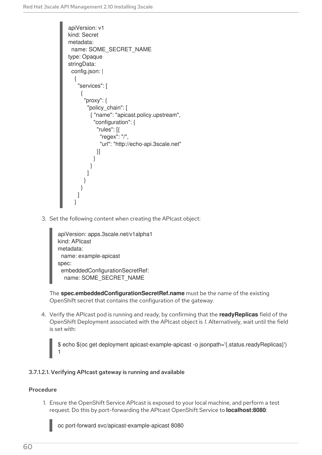```
apiVersion: v1
kind: Secret
metadata:
 name: SOME_SECRET_NAME
type: Opaque
stringData:
 config.json: |
  {
    "services": [
     {
      "proxy": {
       "policy_chain": [
         { "name": "apicast.policy.upstream",
          "configuration": {
           "rules": [{
             "regex": "/",
             "url": "http://echo-api.3scale.net"
           }]
          }
         }
        ]
      }
     }
   ]
  }
```
3. Set the following content when creating the APIcast object:

```
apiVersion: apps.3scale.net/v1alpha1
kind: APIcast
metadata:
 name: example-apicast
spec:
 embeddedConfigurationSecretRef:
  name: SOME_SECRET_NAME
```
The **spec.embeddedConfigurationSecretRef.name** must be the name of the existing OpenShift secret that contains the configuration of the gateway.

4. Verify the APIcast pod is running and ready, by confirming that the **readyReplicas** field of the OpenShift Deployment associated with the APIcast object is *1*. Alternatively, wait until the field is set with:

\$ echo \$(oc get deployment apicast-example-apicast -o jsonpath='{.status.readyReplicas}') 1

#### 3.7.1.2.1. Verifying APIcast gateway is running and available

#### Procedure

1. Ensure the OpenShift Service APIcast is exposed to your local machine, and perform a test request. Do this by port-forwarding the APIcast OpenShift Service to **localhost:8080**:

oc port-forward svc/apicast-example-apicast 8080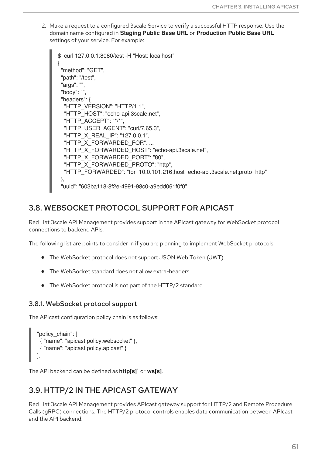2. Make a request to a configured 3scale Service to verify a successful HTTP response. Use the domain name configured in **Staging Public Base URL** or **Production Public Base URL** settings of your service. For example:

```
$ curl 127.0.0.1:8080/test -H "Host: localhost"
{
 "method": "GET",
 "path": "/test",
 "args": "",
 "body": "",
 "headers": {
  "HTTP_VERSION": "HTTP/1.1",
  "HTTP_HOST": "echo-api.3scale.net",
  "HTTP_ACCEPT": "*/*",
  "HTTP_USER_AGENT": "curl/7.65.3",
  "HTTP_X_REAL_IP": "127.0.0.1",
  "HTTP_X_FORWARDED_FOR": ...
  "HTTP_X_FORWARDED_HOST": "echo-api.3scale.net",
  "HTTP X FORWARDED PORT": "80",
  "HTTP X FORWARDED PROTO": "http",
  "HTTP_FORWARDED": "for=10.0.101.216;host=echo-api.3scale.net;proto=http"
 },
 "uuid": "603ba118-8f2e-4991-98c0-a9edd061f0f0"
```
## <span id="page-64-0"></span>3.8. WEBSOCKET PROTOCOL SUPPORT FOR APICAST

Red Hat 3scale API Management provides support in the APIcast gateway for WebSocket protocol connections to backend APIs.

The following list are points to consider in if you are planning to implement WebSocket protocols:

- The WebSocket protocol does not support JSON Web Token (JWT).
- The WebSocket standard does not allow extra-headers.
- The WebSocket protocol is not part of the HTTP/2 standard.

#### 3.8.1. WebSocket protocol support

The APIcast configuration policy chain is as follows:

```
"policy_chain": [
 { "name": "apicast.policy.websocket" },
 { "name": "apicast.policy.apicast" }
],
```
The API backend can be defined as **http[s]`** or **ws[s]**.

## 3.9. HTTP/2 IN THE APICAST GATEWAY

Red Hat 3scale API Management provides APIcast gateway support for HTTP/2 and Remote Procedure Calls (gRPC) connections. The HTTP/2 protocol controls enables data communication between APIcast and the API backend.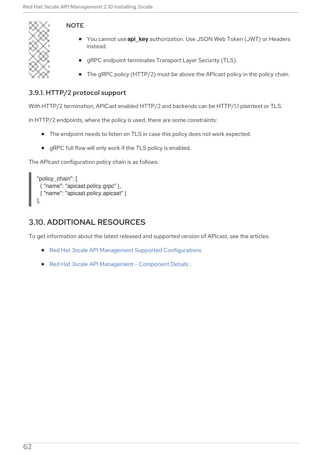## <span id="page-65-0"></span>**NOTE**

- You cannot use **api key** authorization. Use JSON Web Token (JWT) or Headers instead.
- gRPC endpoint terminates Transport Layer Security (TLS).
- The gRPC policy (HTTP/2) must be above the APIcast policy in the policy chain.

## 3.9.1. HTTP/2 protocol support

With HTTP/2 termination, APICast enabled HTTP/2 and backends can be HTTP/1.1 plaintext or TLS.

In HTTP/2 endpoints, where the policy is used, there are some constraints:

- The endpoint needs to listen on TLS in case this policy does not work expected.
- gRPC full flow will only work if the TLS policy is enabled.

The APIcast configuration policy chain is as follows:

```
"policy_chain": [
 { "name": "apicast.policy.grpc" },
 { "name": "apicast.policy.apicast" }
],
```
## 3.10. ADDITIONAL RESOURCES

To get information about the latest released and supported version of APIcast, see the articles:

- Red Hat 3scale API Management Supported [Configurations](https://access.redhat.com/articles/2798521)
- Red Hat 3scale API [Management](https://access.redhat.com/articles/2787991) Component Details .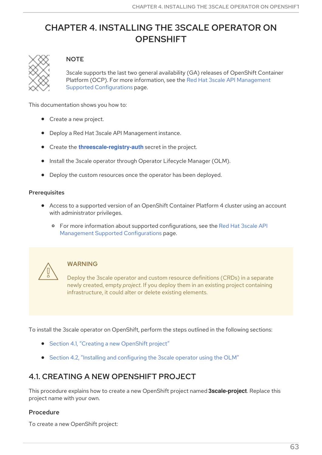# CHAPTER 4. INSTALLING THE 3SCALE OPERATOR ON **OPENSHIFT**



#### **NOTE**

3scale supports the last two general availability (GA) releases of OpenShift Container Platform (OCP). For more information, see the Red Hat 3scale API Management Supported [Configurations](https://access.redhat.com/articles/2798521) page.

This documentation shows you how to:

- Create a new project.
- Deploy a Red Hat 3scale API Management instance.
- Create the **[threescale-registry-auth](https://access.redhat.com/documentation/en-us/red_hat_3scale_api_management/2.10/html-single/installing_3scale/index#configuring-container-registry-authentication)** secret in the project.
- Install the 3scale operator through Operator Lifecycle Manager (OLM).
- Deploy the custom resources once the operator has been deployed.

#### **Prerequisites**

- Access to a supported version of an OpenShift Container Platform 4 cluster using an account with administrator privileges.
	- For more information about supported [configurations,](https://access.redhat.com/articles/2798521) see the Red Hat 3scale API Management Supported Configurations page.



#### WARNING

Deploy the 3scale operator and custom resource definitions (CRDs) in a separate newly created, empty *project*. If you deploy them in an existing project containing infrastructure, it could alter or delete existing elements.

To install the 3scale operator on OpenShift, perform the steps outlined in the following sections:

- Section 4.1, "Creating a new [OpenShift](#page-66-0) project"
- Section 4.2, "Installing and [configuring](#page-68-0) the 3scale operator using the OLM"

## <span id="page-66-0"></span>4.1. CREATING A NEW OPENSHIFT PROJECT

This procedure explains how to create a new OpenShift project named **3scale-project**. Replace this project name with your own.

#### Procedure

To create a new OpenShift project: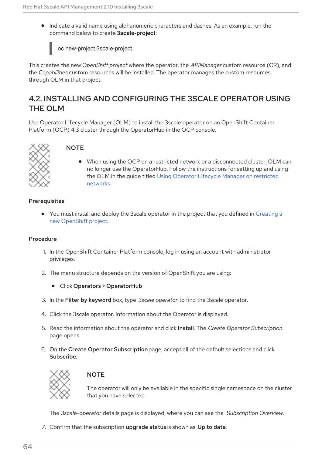• Indicate a valid name using alphanumeric characters and dashes. As an example, run the command below to create **3scale-project**:



This creates the new *OpenShift project* where the operator, the *APIManager* custom resource (CR), and the *Capabilities* custom resources will be installed. The operator manages the custom resources through OLM in that project.

## 4.2. INSTALLING AND CONFIGURING THE 3SCALE OPERATOR USING THE OLM

Use Operator Lifecycle Manager (OLM) to install the 3scale operator on an OpenShift Container Platform (OCP) 4.3 cluster through the OperatorHub in the OCP console.



#### **NOTE**

When using the OCP on a restricted network or a disconnected cluster, OLM can no longer use the OperatorHub. Follow the instructions for setting up and using the OLM in the guide titled Using Operator Lifecycle Manager on [restricted](https://access.redhat.com/documentation/en-us/openshift_container_platform/4.3/html-single/operators/olm-restricted-networks#olm-restricted-networks) networks.

#### Prerequisites

You must install and deploy the 3scale operator in the project that you defined in Creating a new [OpenShift](https://access.redhat.com/documentation/en-us/red_hat_3scale_api_management/2.10/html-single/installing_3scale/index#creating-a-new-openshift-project) project.

#### Procedure

- 1. In the OpenShift Container Platform console, log in using an account with administrator privileges.
- 2. The menu structure depends on the version of OpenShift you are using:
	- Click Operators > OperatorHub
- 3. In the Filter by keyword box, type *3scale operator* to find the 3scale operator.
- 4. Click the 3scale operator. Information about the Operator is displayed.
- 5. Read the information about the operator and click Install. The *Create Operator Subscription* page opens.
- 6. On the Create Operator Subscriptionpage, accept all of the default selections and click Subscribe.



#### **NOTE**

The operator will only be available in the specific single namespace on the cluster that you have selected.

The *3scale-operator* details page is displayed, where you can see the *Subscription Overview*.

7. Confirm that the subscription upgrade status is shown as Up to date.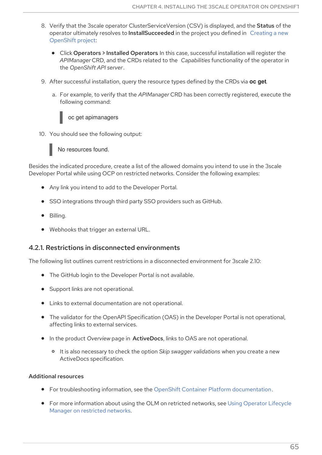- <span id="page-68-0"></span>8. Verify that the 3scale operator ClusterServiceVersion (CSV) is displayed, and the Status of the operator ultimately resolves to [InstallSucceeded](https://access.redhat.com/documentation/en-us/red_hat_3scale_api_management/2.10/html-single/installing_3scale/index#creating-a-new-openshift-project) in the project you defined in Creating a new OpenShift project:
	- Click Operators > Installed Operators. In this case, successful installation will register the *APIManager* CRD, and the CRDs related to the *Capabilities* functionality of the operator in the *OpenShift API server*.
- 9. After successful installation, query the resource types defined by the CRDs via **oc get**.
	- a. For example, to verify that the *APIManager* CRD has been correctly registered, execute the following command:



10. You should see the following output:



Besides the indicated procedure, create a list of the allowed domains you intend to use in the 3scale Developer Portal while using OCP on restricted networks. Consider the following examples:

- Any link you intend to add to the Developer Portal.
- SSO integrations through third party SSO providers such as GitHub.
- Billing.
- Webhooks that trigger an external URL.

#### 4.2.1. Restrictions in disconnected environments

The following list outlines current restrictions in a disconnected environment for 3scale 2.10:

- The GitHub login to the Developer Portal is not available.
- Support links are not operational.
- Links to external documentation are not operational.
- The validator for the OpenAPI Specification (OAS) in the Developer Portal is not operational, affecting links to external services.
- In the product *Overview* page in ActiveDocs, links to OAS are not operational.
	- It is also necessary to check the option *Skip swagger validations* when you create a new ActiveDocs specification.

#### Additional resources

- For troubleshooting information, see the OpenShift Container Platform [documentation](https://access.redhat.com/documentation/en-us/openshift_container_platform/4.3/html-single/operators/index#olm-installing-operators-from-operatorhub_olm-adding-operators-to-a-cluster).
- For more [information](https://access.redhat.com/documentation/en-us/openshift_container_platform/4.3/html-single/operators/olm-restricted-networks#olm-restricted-networks) about using the OLM on retricted networks, see Using Operator Lifecycle Manager on restricted networks.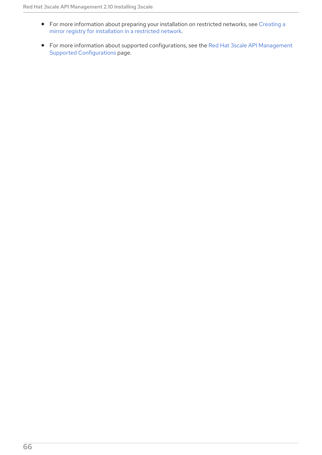- For more [information](https://access.redhat.com/documentation/en-us/openshift_container_platform/4.3/html-single/installing/index#installing-restricted-networks-preparations) about preparing your installation on restricted networks, see Creating a mirror registry for installation in a restricted network.
- For more information about supported [configurations,](https://access.redhat.com/articles/2798521) see the Red Hat 3scale API Management Supported Configurations page.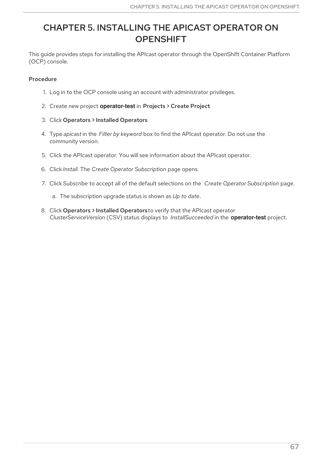## CHAPTER 5. INSTALLING THE APICAST OPERATOR ON **OPENSHIFT**

This guide provides steps for installing the APIcast operator through the OpenShift Container Platform (OCP) console.

#### Procedure

- 1. Log in to the OCP console using an account with administrator privileges.
- 2. Create new project **operator-test** in Projects > Create Project.
- 3. Click Operators > Installed Operators
- 4. Type *apicast* in the *Filter by keyword* box to find the APIcast operator. Do not use the community version.
- 5. Click the APIcast operator. You will see information about the APIcast operator.
- 6. Click *Install*. The *Create Operator Subscription* page opens.
- 7. Click *Subscribe* to accept all of the default selections on the *Create Operator Subscription* page.
	- a. The subscription upgrade status is shown as *Up to date*.
- 8. Click Operators > Installed Operators to verify that the APIcast operator *ClusterServiceVersion* (CSV) status displays to *InstallSucceeded* in the **operator-test** project.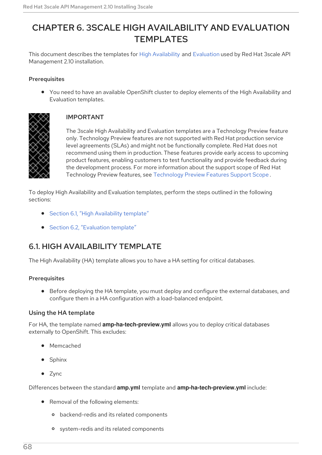## CHAPTER 6. 3SCALE HIGH AVAILABILITY AND EVALUATION **TEMPLATES**

This document describes the templates for High [Availability](#page-72-0) and [Evaluation](#page-72-1) used by Red Hat 3scale API Management 2.10 installation.

#### Prerequisites

You need to have an available OpenShift cluster to deploy elements of the High Availability and Evaluation templates.



#### IMPORTANT

The 3scale High Availability and Evaluation templates are a Technology Preview feature only. Technology Preview features are not supported with Red Hat production service level agreements (SLAs) and might not be functionally complete. Red Hat does not recommend using them in production. These features provide early access to upcoming product features, enabling customers to test functionality and provide feedback during the development process. For more information about the support scope of Red Hat Technology Preview features, see [Technology](https://access.redhat.com/support/offerings/techpreview/) Preview Features Support Scope .

To deploy High Availability and Evaluation templates, perform the steps outlined in the following sections:

- Section 6.1, "High [Availability](#page-72-0) template"
- Section 6.2, ["Evaluation](#page-72-1) template"

## 6.1. HIGH AVAILABILITY TEMPLATE

The High Availability (HA) template allows you to have a HA setting for critical databases.

#### Prerequisites

Before deploying the HA template, you must deploy and configure the external databases, and configure them in a HA configuration with a load-balanced endpoint.

#### Using the HA template

For HA, the template named **amp-ha-tech-preview.yml** allows you to deploy critical databases externally to OpenShift. This excludes:

- Memcached
- Sphinx
- Zync

Differences between the standard **amp.yml** template and **amp-ha-tech-preview.yml** include:

- Removal of the following elements:
	- backend-redis and its related components
	- system-redis and its related components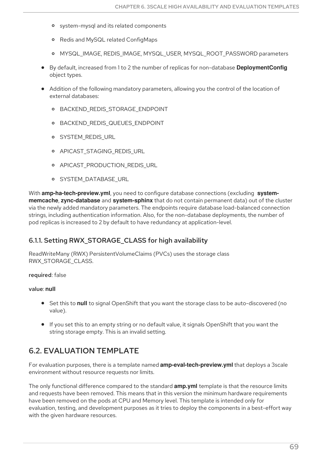- system-mysql and its related components
- Redis and MySQL related ConfigMaps
- o MYSQL\_IMAGE, REDIS\_IMAGE, MYSQL\_USER, MYSQL\_ROOT\_PASSWORD parameters
- By default, increased from 1 to 2 the number of replicas for non-database **DeploymentConfig** object types.
- Addition of the following mandatory parameters, allowing you the control of the location of external databases:
	- o BACKEND REDIS STORAGE ENDPOINT
	- o BACKEND REDIS QUEUES ENDPOINT
	- SYSTEM\_REDIS\_URL
	- o APICAST STAGING REDIS URL
	- o APICAST PRODUCTION REDIS URL
	- o SYSTEM DATABASE URL

With **amp-ha-tech-preview.yml**, you need to configure database connections (excluding **systemmemcache**, **zync-database** and **system-sphinx** that do not contain permanent data) out of the cluster via the newly added mandatory parameters. The endpoints require database load-balanced connection strings, including authentication information. Also, for the non-database deployments, the number of pod replicas is increased to 2 by default to have redundancy at application-level.

### 6.1.1. Setting RWX\_STORAGE\_CLASS for high availability

ReadWriteMany (RWX) PersistentVolumeClaims (PVCs) uses the storage class RWX\_STORAGE\_CLASS.

#### required: false

#### value: **null**

- Set this to **null** to signal OpenShift that you want the storage class to be auto-discovered (no value).
- If you set this to an empty string or no default value, it signals OpenShift that you want the string storage empty. This is an invalid setting.

# 6.2. EVALUATION TEMPLATE

For evaluation purposes, there is a template named **amp-eval-tech-preview.yml** that deploys a 3scale environment without resource requests nor limits.

The only functional difference compared to the standard **amp.yml** template is that the resource limits and requests have been removed. This means that in this version the minimum hardware requirements have been removed on the pods at CPU and Memory level. This template is intended only for evaluation, testing, and development purposes as it tries to deploy the components in a best-effort way with the given hardware resources.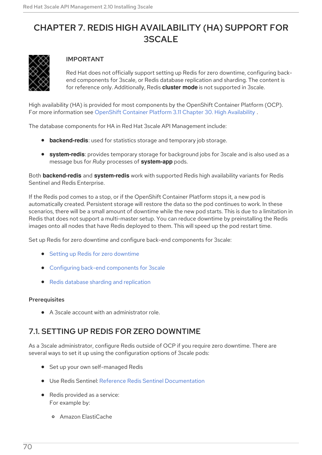# CHAPTER 7. REDIS HIGH AVAILABILITY (HA) SUPPORT FOR 3SCALE



### IMPORTANT

Red Hat does not officially support setting up Redis for zero downtime, configuring backend components for 3scale, or Redis database replication and sharding. The content is for reference only. Additionally, Redis **cluster mode** is not supported in 3scale.

High availability (HA) is provided for most components by the OpenShift Container Platform (OCP). For more information see OpenShift Container Platform 3.11 Chapter 30. High [Availability](https://access.redhat.com/documentation/en-us/openshift_container_platform/3.11/html/cluster_administration/admin-guide-high-availability) .

The database components for HA in Red Hat 3scale API Management include:

- **backend-redis**: used for statistics storage and temporary job storage.
- **system-redis**: provides temporary storage for background jobs for 3scale and is also used as a message bus for *Ruby* processes of **system-app** pods.

Both **backend-redis** and **system-redis** work with supported Redis high availability variants for Redis Sentinel and Redis Enterprise.

If the Redis pod comes to a stop, or if the OpenShift Container Platform stops it, a new pod is automatically created. Persistent storage will restore the data so the pod continues to work. In these scenarios, there will be a small amount of downtime while the new pod starts. This is due to a limitation in Redis that does not support a multi-master setup. You can reduce downtime by preinstalling the Redis images onto all nodes that have Redis deployed to them. This will speed up the pod restart time.

Set up Redis for zero downtime and configure back-end components for 3scale:

- **•** Setting up Redis for zero [downtime](#page-73-0)
- Configuring back-end [components](#page-75-0) for 3scale
- Redis database sharding and [replication](#page-78-0)

#### **Prerequisites**

A 3scale account with an administrator role.

# <span id="page-73-0"></span>7.1. SETTING UP REDIS FOR ZERO DOWNTIME

As a 3scale administrator, configure Redis outside of OCP if you require zero downtime. There are several ways to set it up using the configuration options of 3scale pods:

- Set up your own self-managed Redis
- Use Redis Sentinel: Reference Redis Sentinel [Documentation](https://redis.io/topics/sentinel)
- Redis provided as a service: For example by:
	- Amazon ElastiCache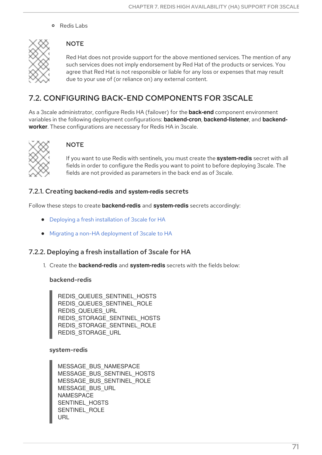Redis Labs

# **NOTE**

Red Hat does not provide support for the above mentioned services. The mention of any such services does not imply endorsement by Red Hat of the products or services. You agree that Red Hat is not responsible or liable for any loss or expenses that may result due to your use of (or reliance on) any external content.

# 7.2. CONFIGURING BACK-END COMPONENTS FOR 3SCALE

As a 3scale administrator, configure Redis HA (failover) for the **back-end** component environment variables in the following deployment configurations: **backend-cron**, **backend-listener**, and **backendworker**. These configurations are necessary for Redis HA in 3scale.



### **NOTE**

If you want to use Redis with sentinels, you must create the **system-redis** secret with all fields in order to configure the Redis you want to point to before deploying 3scale. The fields are not provided as parameters in the back end as of 3scale.

### 7.2.1. Creating **backend-redis** and **system-redis** secrets

Follow these steps to create **backend-redis** and **system-redis** secrets accordingly:

- Deploying a fresh [installation](https://access.redhat.com/documentation/en-us/red_hat_3scale_api_management/2.10/html-single/installing_3scale/index#deploying-a-fresh-installation) of 3scale for HA
- Migrating a non-HA [deployment](https://access.redhat.com/documentation/en-us/red_hat_3scale_api_management/2.10/html-single/installing_3scale/index#upgrading-from-a-previous-version) of 3scale to HA

### 7.2.2. Deploying a fresh installation of 3scale for HA

1. Create the **backend-redis** and **system-redis** secrets with the fields below:

#### backend-redis

REDIS\_QUEUES\_SENTINEL\_HOSTS REDIS\_QUEUES\_SENTINEL\_ROLE REDIS\_QUEUES\_URL REDIS\_STORAGE\_SENTINEL\_HOSTS REDIS\_STORAGE\_SENTINEL\_ROLE REDIS\_STORAGE\_URL

#### system-redis

MESSAGE\_BUS\_NAMESPACE MESSAGE\_BUS\_SENTINEL\_HOSTS MESSAGE\_BUS\_SENTINEL\_ROLE MESSAGE\_BUS\_URL NAMESPACE SENTINEL\_HOSTS SENTINEL\_ROLE URL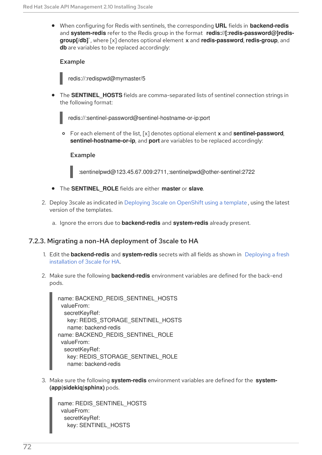<span id="page-75-0"></span>When configuring for Redis with sentinels, the corresponding **URL** fields in **backend-redis** and **system-redis** refer to the Redis group in the format **redis://[:redis-password@]redisgroup[/db]`**, where [x] denotes optional element x and **redis-password**, **redis-group**, and **db** are variables to be replaced accordingly:

### Example

redis://:redispwd@mymaster/5

The **SENTINEL\_HOSTS** fields are comma-separated lists of sentinel connection strings in the following format:

redis://:sentinel-password@sentinel-hostname-or-ip:port

For each element of the list, [x] denotes optional element x and **sentinel-password**, **sentinel-hostname-or-ip**, and **port** are variables to be replaced accordingly:

#### Example

:sentinelpwd@123.45.67.009:2711,:sentinelpwd@other-sentinel:2722

- The **SENTINEL\_ROLE** fields are either **master** or **slave**.
- 2. Deploy 3scale as indicated in Deploying 3scale on [OpenShift](https://access.redhat.com/documentation/en-us/red_hat_3scale_api_management/2.10/html-single/installing_3scale/index#deploying-threescale-on-openshift-using-template) using a template , using the latest version of the templates.
	- a. Ignore the errors due to **backend-redis** and **system-redis** already present.

### 7.2.3. Migrating a non-HA deployment of 3scale to HA

- 1. Edit the **[backend-redis](https://access.redhat.com/documentation/en-us/red_hat_3scale_api_management/2.10/html-single/installing_3scale/index#deploying-a-fresh-installation)** and **system-redis** secrets with all fields as shown in Deploying a fresh installation of 3scale for HA.
- 2. Make sure the following **backend-redis** environment variables are defined for the back-end pods.

name: BACKEND\_REDIS\_SENTINEL\_HOSTS valueFrom: secretKeyRef: key: REDIS\_STORAGE\_SENTINEL\_HOSTS name: backend-redis name: BACKEND\_REDIS\_SENTINEL\_ROLE valueFrom: secretKeyRef: key: REDIS\_STORAGE\_SENTINEL\_ROLE name: backend-redis

3. Make sure the following **system-redis** environment variables are defined for the **system- (app|sidekiq|sphinx)** pods.

name: REDIS\_SENTINEL\_HOSTS valueFrom: secretKeyRef: key: SENTINEL\_HOSTS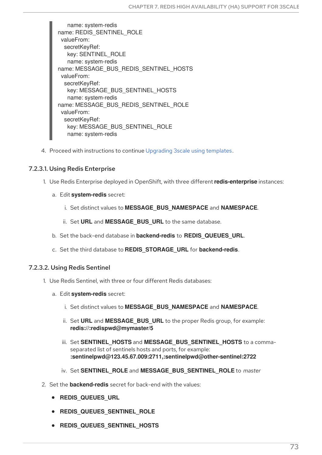- name: system-redis name: REDIS\_SENTINEL\_ROLE valueFrom: secretKeyRef: key: SENTINEL\_ROLE name: system-redis name: MESSAGE\_BUS\_REDIS\_SENTINEL\_HOSTS valueFrom: secretKeyRef: key: MESSAGE\_BUS\_SENTINEL\_HOSTS name: system-redis name: MESSAGE\_BUS\_REDIS\_SENTINEL\_ROLE valueFrom: secretKeyRef: key: MESSAGE\_BUS\_SENTINEL\_ROLE name: system-redis
- 4. Proceed with instructions to continue [Upgrading](https://access.redhat.com/documentation/en-us/red_hat_3scale_api_management/2.10/html-single/migrating_3scale/index#upgrading-3scale) 3scale using templates.

### 7.2.3.1. Using Redis Enterprise

- 1. Use Redis Enterprise deployed in OpenShift, with three different **redis-enterprise** instances:
	- a. Edit **system-redis** secret:
		- i. Set distinct values to **MESSAGE\_BUS\_NAMESPACE** and **NAMESPACE**.
		- ii. Set URL and MESSAGE BUS URL to the same database.
	- b. Set the back-end database in **backend-redis** to **REDIS\_QUEUES\_URL**.
	- c. Set the third database to **REDIS\_STORAGE\_URL** for **backend-redis**.

#### 7.2.3.2. Using Redis Sentinel

- 1. Use Redis Sentinel, with three or four different Redis databases:
	- a. Edit **system-redis** secret:
		- i. Set distinct values to **MESSAGE\_BUS\_NAMESPACE** and **NAMESPACE**.
		- ii. Set URL and MESSAGE BUS URL to the proper Redis group, for example: **redis://:redispwd@mymaster/5**
		- iii. Set **SENTINEL HOSTS** and **MESSAGE BUS SENTINEL HOSTS** to a commaseparated list of sentinels hosts and ports, for example: **:sentinelpwd@123.45.67.009:2711,:sentinelpwd@other-sentinel:2722**
		- iv. Set **SENTINEL\_ROLE** and **MESSAGE\_BUS\_SENTINEL\_ROLE** to *master*
- 2. Set the **backend-redis** secret for back-end with the values:
	- **REDIS\_QUEUES\_URL**
	- **REDIS QUEUES SENTINEL ROLE**
	- **REDIS\_QUEUES\_SENTINEL\_HOSTS**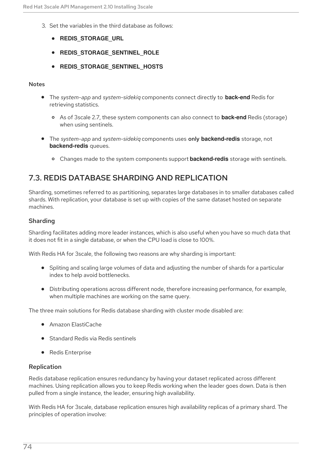- 3. Set the variables in the third database as follows:
	- **REDIS STORAGE URL**
	- **REDIS STORAGE SENTINEL ROLE**
	- **REDIS STORAGE SENTINEL HOSTS**

#### Notes

- The *system-app* and *system-sidekiq* components connect directly to **back-end** Redis for retrieving statistics.
	- As of 3scale 2.7, these system components can also connect to **back-end** Redis (storage) when using sentinels.
- The *system-app* and *system-sidekiq* components uses only **backend-redis** storage, not **backend-redis** queues.
	- Changes made to the system components support **backend-redis** storage with sentinels.

# 7.3. REDIS DATABASE SHARDING AND REPLICATION

Sharding, sometimes referred to as partitioning, separates large databases in to smaller databases called shards. With replication, your database is set up with copies of the same dataset hosted on separate machines.

#### Sharding

Sharding facilitates adding more leader instances, which is also useful when you have so much data that it does not fit in a single database, or when the CPU load is close to 100%.

With Redis HA for 3scale, the following two reasons are why sharding is important:

- Spliting and scaling large volumes of data and adjusting the number of shards for a particular index to help avoid bottlenecks.
- Distributing operations across different node, therefore increasing performance, for example, when multiple machines are working on the same query.

The three main solutions for Redis database sharding with cluster mode disabled are:

- Amazon ElastiCache
- Standard Redis via Redis sentinels
- **•** Redis Enterprise

#### Replication

Redis database replication ensures redundancy by having your dataset replicated across different machines. Using replication allows you to keep Redis working when the leader goes down. Data is then pulled from a single instance, the leader, ensuring high availability.

With Redis HA for 3scale, database replication ensures high availability replicas of a primary shard. The principles of operation involve: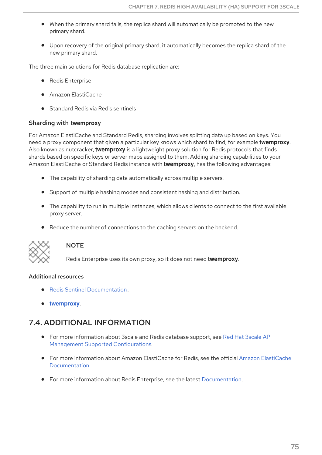- <span id="page-78-0"></span>When the primary shard fails, the replica shard will automatically be promoted to the new primary shard.
- Upon recovery of the original primary shard, it automatically becomes the replica shard of the new primary shard.

The three main solutions for Redis database replication are:

- Redis Enterprise
- Amazon ElastiCache
- Standard Redis via Redis sentinels

#### Sharding with **twemproxy**

For Amazon ElastiCache and Standard Redis, sharding involves splitting data up based on keys. You need a proxy component that given a particular key knows which shard to find, for example **twemproxy**. Also known as nutcracker, **twemproxy** is a lightweight proxy solution for Redis protocols that finds shards based on specific keys or server maps assigned to them. Adding sharding capabilities to your Amazon ElastiCache or Standard Redis instance with **twemproxy**, has the following advantages:

- The capability of sharding data automatically across multiple servers.
- Support of multiple hashing modes and consistent hashing and distribution.
- The capability to run in multiple instances, which allows clients to connect to the first available proxy server.
- Reduce the number of connections to the caching servers on the backend.



### **NOTE**

Redis Enterprise uses its own proxy, so it does not need **twemproxy**.

#### Additional resources

- Redis Sentinel [Documentation.](https://redis.io/topics/sentinel)
- **[twemproxy](https://github.com/twitter/twemproxy)**.

# 7.4. ADDITIONAL INFORMATION

- For more information about 3scale and Redis database support, see Red Hat 3scale API Management Supported [Configurations.](https://access.redhat.com/articles/2798521#3scale-api-management-27-2)
- For more information about Amazon ElastiCache for Redis, see the official Amazon ElastiCache **Documentation**
- For more information about Redis Enterprise, see the latest [Documentation.](https://docs.redislabs.com/latest/)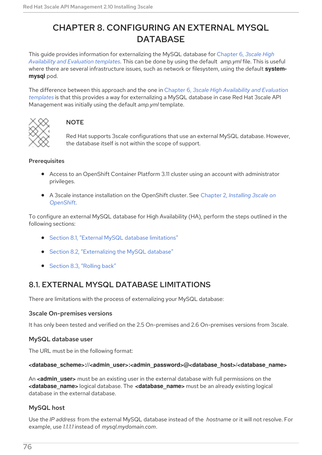# CHAPTER 8. CONFIGURING AN EXTERNAL MYSQL **DATABASE**

This guide provides information for [externalizing](#page-71-0) the MySQL database for Chapter 6, *3scale High Availability and Evaluation templates*. This can be done by using the default *amp.yml* file. This is useful where there are several infrastructure issues, such as network or filesystem, using the default **systemmysql** pod.

The difference between this approach and the one in Chapter 6, *3scale High Availability and Evaluation templates* is that this provides a way for [externalizing](#page-71-0) a MySQL database in case Red Hat 3scale API Management was initially using the default *amp.yml* template.



### **NOTE**

Red Hat supports 3scale configurations that use an external MySQL database. However, the database itself is not within the scope of support.

#### **Prerequisites**

- Access to an OpenShift Container Platform 3.11 cluster using an account with administrator privileges.
- A 3scale instance [installation](#page-29-0) on the OpenShift cluster. See Chapter 2, *Installing 3scale on OpenShift*.

To configure an external MySQL database for High Availability (HA), perform the steps outlined in the following sections:

- **•** Section 8.1, "External MySQL database [limitations"](#page-79-0)
- **•** Section 8.2, ["Externalizing](#page-81-0) the MySQL database"
- Section 8.3, ["Rolling](#page-83-0) back"

# <span id="page-79-0"></span>8.1. EXTERNAL MYSQL DATABASE LIMITATIONS

There are limitations with the process of externalizing your MySQL database:

#### 3scale On-premises versions

It has only been tested and verified on the 2.5 On-premises and 2.6 On-premises versions from 3scale.

#### MySQL database user

The URL must be in the following format:

#### **<database\_scheme>://<admin\_user>:<admin\_password>@<database\_host>/<database\_name>**

An **<admin\_user>** must be an existing user in the external database with full permissions on the **<database\_name>** logical database. The **<database\_name>** must be an already existing logical database in the external database.

#### MySQL host

Use the *IP address* from the external MySQL database instead of the *hostname* or it will not resolve. For example, use *1.1.1.1* instead of *mysql.mydomain.com*.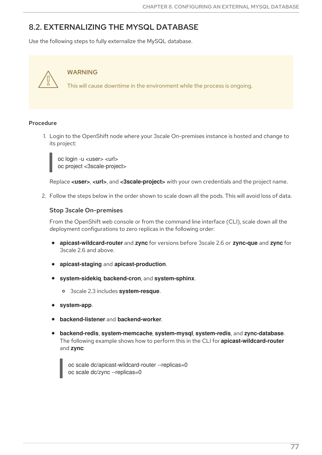# 8.2. EXTERNALIZING THE MYSQL DATABASE

Use the following steps to fully externalize the MySQL database.



#### WARNING

This will cause downtime in the environment while the process is ongoing.

#### Procedure

1. Login to the OpenShift node where your 3scale On-premises instance is hosted and change to its project:

oc login -u <user> <url> oc project <3scale-project>

Replace **<user>**, **<url>**, and **<3scale-project>** with your own credentials and the project name.

2. Follow the steps below in the order shown to scale down all the pods. This will avoid loss of data.

#### Stop 3scale On-premises

From the OpenShift web console or from the command line interface (CLI), scale down all the deployment configurations to zero replicas in the following order:

- **apicast-wildcard-router** and **zync** for versions before 3scale 2.6 or **zync-que** and **zync** for 3scale 2.6 and above.
- **apicast-staging** and **apicast-production**.
- **system-sidekiq**, **backend-cron**, and **system-sphinx**.
	- 3scale 2.3 includes **system-resque**.
- **system-app**.
- **backend-listener** and **backend-worker**.
- **backend-redis**, **system-memcache**, **system-mysql**, **system-redis**, and **zync-database**. The following example shows how to perform this in the CLI for **apicast-wildcard-router** and **zync**:

oc scale dc/apicast-wildcard-router --replicas=0 oc scale dc/zync --replicas=0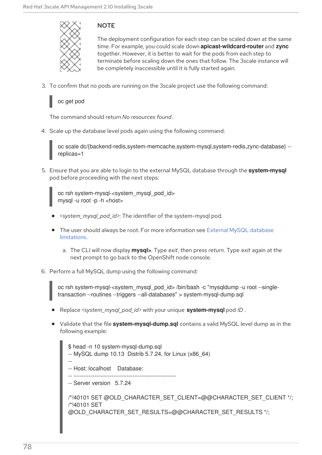<span id="page-81-0"></span>

# **NOTE**

The deployment configuration for each step can be scaled down at the same time. For example, you could scale down **apicast-wildcard-router** and **zync** together. However, it is better to wait for the pods from each step to terminate before scaling down the ones that follow. The 3scale instance will be completely inaccessible until it is fully started again.

3. To confirm that no pods are running on the 3scale project use the following command:



The command should return *No resources found*.

4. Scale up the database level pods again using the following command:

oc scale dc/{backend-redis,system-memcache,system-mysql,system-redis,zync-database} - replicas=1

5. Ensure that you are able to login to the external MySQL database through the **system-mysql** pod before proceeding with the next steps:

oc rsh system-mysql-<system\_mysql\_pod\_id> mysql -u root -p -h <host>

- *<system\_mysql\_pod\_id>*: The identifier of the system-mysql pod.
- The user should always be root. For more [information](https://access.redhat.com/documentation/en-us/red_hat_3scale_api_management/2.10/html-single/installing_3scale/index#external-mysql-database-limitations) see External MySQL database limitations.
	- a. The CLI will now display **mysql>**. Type *exit*, then press *return*. Type *exit* again at the next prompt to go back to the OpenShift node console.
- 6. Perform a full MySQL dump using the following command:

oc rsh system-mysql-<system\_mysql\_pod\_id> /bin/bash -c "mysqldump -u root --singletransaction --routines --triggers --all-databases" > system-mysql-dump.sql

- Replace *<system\_mysql\_pod\_id>* with your unique **system-mysql** pod *ID* .
- Validate that the file **system-mysql-dump.sql** contains a valid MySQL level dump as in the following example:

\$ head -n 10 system-mysql-dump.sql -- MySQL dump 10.13 Distrib 5.7.24, for Linux (x86\_64) -- -- Host: localhost Database: -- ------------------------------------------------------ -- Server version 5.7.24

/\*!40101 SET @OLD\_CHARACTER\_SET\_CLIENT=@@CHARACTER\_SET\_CLIENT \*/; /\*!40101 SET @OLD CHARACTER SET RESULTS=@@CHARACTER SET RESULTS \*/;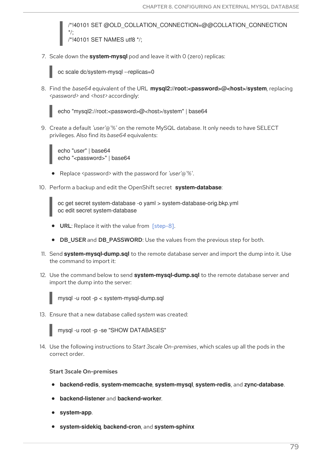/\*!40101 SET @OLD\_COLLATION\_CONNECTION=@@COLLATION\_CONNECTION \*/; /\*!40101 SET NAMES utf8 \*/;

7. Scale down the **system-mysql** pod and leave it with 0 (zero) replicas:

oc scale dc/system-mysql --replicas=0

<span id="page-82-0"></span>8. Find the *base64* equivalent of the URL **mysql2://root:<password>@<host>/system**, replacing *<password>* and *<host>* accordingly:

echo "mysql2://root:<password>@<host>/system" | base64

9. Create a default *'user'@'%'* on the remote MySQL database. It only needs to have SELECT privileges. Also find its *base64* equivalents:

echo "user" | base64 echo "<password>" | base64

- Replace <password> with the password for *'user'@'%'*.
- <span id="page-82-1"></span>10. Perform a backup and edit the OpenShift secret **system-database**:

oc get secret system-database -o yaml > system-database-orig.bkp.yml oc edit secret system-database

- **URL:** Replace it with the value from [\[step-8\].](#page-82-0)
- DB USER and DB\_PASSWORD: Use the values from the previous step for both.
- 11. Send **system-mysql-dump.sql** to the remote database server and import the dump into it. Use the command to import it:
- 12. Use the command below to send **system-mysql-dump.sql** to the remote database server and import the dump into the server:

mysql -u root -p < system-mysql-dump.sql

13. Ensure that a new database called *system* was created:

mysql -u root -p -se "SHOW DATABASES"

14. Use the following instructions to *Start 3scale On-premises*, which scales up all the pods in the correct order.

#### Start 3scale On-premises

- **backend-redis**, **system-memcache**, **system-mysql**, **system-redis**, and **zync-database**.
- **backend-listener** and **backend-worker**.
- **system-app**.
- **system-sidekiq**, **backend-cron**, and **system-sphinx**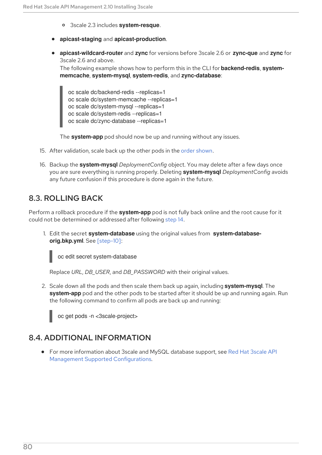- 3scale 2.3 includes **system-resque**.
- **apicast-staging** and **apicast-production**.
- **apicast-wildcard-router** and **zync** for versions before 3scale 2.6 or **zync-que** and **zync** for 3scale 2.6 and above.

The following example shows how to perform this in the CLI for **backend-redis**, **systemmemcache**, **system-mysql**, **system-redis**, and **zync-database**:

oc scale dc/backend-redis --replicas=1 oc scale dc/system-memcache --replicas=1 oc scale dc/system-mysql --replicas=1 oc scale dc/system-redis --replicas=1 oc scale dc/zync-database --replicas=1

The **system-app** pod should now be up and running without any issues.

- 15. After validation, scale back up the other pods in the order [shown.](https://access.redhat.com/documentation/en-us/red_hat_3scale_api_management/2.10/html-single/installing_3scale/index#scaling-up-pods)
- 16. Backup the **system-mysql** *DeploymentConfig* object. You may delete after a few days once you are sure everything is running properly. Deleting **system-mysql** *DeploymentConfig* avoids any future confusion if this procedure is done again in the future.

# <span id="page-83-0"></span>8.3. ROLLING BACK

Perform a rollback procedure if the **system-app** pod is not fully back online and the root cause for it could not be determined or addressed after following [step](https://access.redhat.com/documentation/en-us/red_hat_3scale_api_management/2.10/html-single/installing_3scale/index#scaling-up-pods) 14.

1. Edit the secret **system-database** using the original values from **system-databaseorig.bkp.yml**. See [\[step-10\]:](#page-82-1)

oc edit secret system-database

Replace *URL*, *DB\_USER*, and *DB\_PASSWORD* with their original values.

2. Scale down all the pods and then scale them back up again, including **system-mysql**. The **system-app** pod and the other pods to be started after it should be up and running again. Run the following command to confirm all pods are back up and running:

oc get pods -n <3scale-project>

# 8.4. ADDITIONAL INFORMATION

For more information about 3scale and MySQL database support, see Red Hat 3scale API Management Supported [Configurations.](https://access.redhat.com/articles/2798521#3scale-api-management-27-2)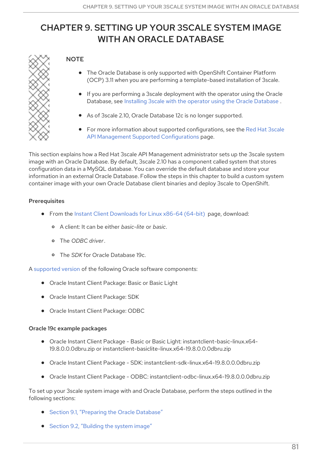# CHAPTER 9. SETTING UP YOUR 3SCALE SYSTEM IMAGE WITH AN ORACLE DATABASE



### **NOTE**

- The Oracle Database is only supported with OpenShift Container Platform (OCP) 3.11 when you are performing a template-based installation of 3scale.
- If you are performing a 3scale deployment with the operator using the Oracle Database, see Installing 3scale with the operator using the Oracle [Database](https://access.redhat.com/documentation/en-us/red_hat_3scale_api_management/2.10/html-single/installing_3scale/index#installing-threescale-with-operator-using-oracle-database) .
- As of 3scale 2.10, Oracle Database 12c is no longer supported.
- For more information about supported [configurations,](https://access.redhat.com/articles/2798521) see the Red Hat 3scale API Management Supported Configurations page.

This section explains how a Red Hat 3scale API Management administrator sets up the 3scale system image with an Oracle Database. By default, 3scale 2.10 has a component called system that stores configuration data in a MySQL database. You can override the default database and store your information in an external Oracle Database. Follow the steps in this chapter to build a custom system container image with your own Oracle Database client binaries and deploy 3scale to OpenShift.

### **Prerequisites**

- From the Instant Client [Downloads](https://www.oracle.com/database/technologies/instant-client/linux-x86-64-downloads.html) for Linux x86-64 (64-bit) page, download:
	- A client: It can be either *basic-lite* or *basic*.
	- The *ODBC driver*.
	- The *SDK* for Oracle Database 19c.

A [supported](https://access.redhat.com/articles/2798521) version of the following Oracle software components:

- Oracle Instant Client Package: Basic or Basic Light
- Oracle Instant Client Package: SDK
- Oracle Instant Client Package: ODBC

#### Oracle 19c example packages

- Oracle Instant Client Package Basic or Basic Light: instantclient-basic-linux.x64- 19.8.0.0.0dbru.zip or instantclient-basiclite-linux.x64-19.8.0.0.0dbru.zip
- Oracle Instant Client Package SDK: instantclient-sdk-linux.x64-19.8.0.0.0dbru.zip
- Oracle Instant Client Package ODBC: instantclient-odbc-linux.x64-19.8.0.0.0dbru.zip

To set up your 3scale system image with and Oracle Database, perform the steps outlined in the following sections:

- Section 9.1, ["Preparing](#page-85-0) the Oracle Database"
- Section 9.2, ["Building](#page-86-0) the system image"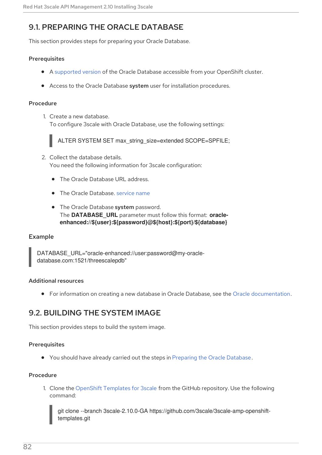# <span id="page-85-0"></span>9.1. PREPARING THE ORACLE DATABASE

This section provides steps for preparing your Oracle Database.

#### **Prerequisites**

- A [supported](https://access.redhat.com/articles/2798521) version of the Oracle Database accessible from your OpenShift cluster.
- Access to the Oracle Database system user for installation procedures.

#### Procedure

1. Create a new database. To configure 3scale with Oracle Database, use the following settings:

ALTER SYSTEM SET max\_string\_size=extended SCOPE=SPFILE;

- 2. Collect the database details. You need the following information for 3scale configuration:
	- The Oracle Database URL address.
	- The Oracle Database, [service](https://docs.oracle.com/cd/E11882_01/network.112/e41945/glossary.htm#BGBGIHFG) name
	- The Oracle Database system password. The **DATABASE\_URL** parameter must follow this format: **oracleenhanced://\${user}:\${password}@\${host}:\${port}/\${database}**

#### Example

DATABASE\_URL="oracle-enhanced://user:password@my-oracledatabase.com:1521/threescalepdb"

#### Additional resources

For information on creating a new database in Oracle Database, see the Oracle [documentation.](https://docs.oracle.com/en/database/)

# 9.2. BUILDING THE SYSTEM IMAGE

This section provides steps to build the system image.

#### **Prerequisites**

You should have already carried out the steps in Preparing the Oracle [Database.](https://access.redhat.com/documentation/en-us/red_hat_3scale_api_management/2.10/html-single/installing_3scale/index#preparing-the-oracle-database)

#### Procedure

1. Clone the OpenShift [Templates](https://github.com/3scale/3scale-amp-openshift-templates/tree/3scale-2.10.0-GA) for 3scale from the GitHub repository. Use the following command:

git clone --branch 3scale-2.10.0-GA https://github.com/3scale/3scale-amp-openshifttemplates.git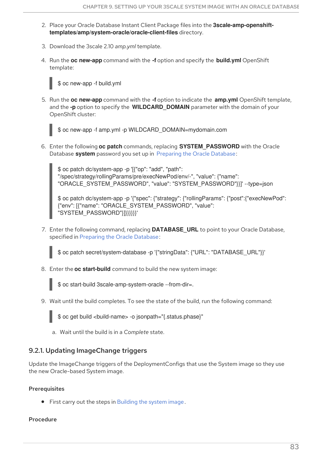- <span id="page-86-0"></span>2. Place your Oracle Database Instant Client Package files into the **3scale-amp-openshifttemplates/amp/system-oracle/oracle-client-files** directory.
- 3. Download the 3scale 2.10 *amp.yml* template.
- 4. Run the **oc new-app** command with the **-f** option and specify the **build.yml** OpenShift template:

\$ oc new-app -f build.yml

5. Run the **oc new-app** command with the **-f** option to indicate the **amp.yml** OpenShift template, and the **-p** option to specify the **WILDCARD\_DOMAIN** parameter with the domain of your OpenShift cluster:

\$ oc new-app -f amp.yml -p WILDCARD\_DOMAIN=mydomain.com

6. Enter the following **oc patch** commands, replacing **SYSTEM\_PASSWORD** with the Oracle Database **system** password you set up in [Preparing](https://access.redhat.com/documentation/en-us/red_hat_3scale_api_management/2.10/html-single/installing_3scale/index#preparing-the-oracle-database) the Oracle Database:

\$ oc patch dc/system-app -p '[{"op": "add", "path": "/spec/strategy/rollingParams/pre/execNewPod/env/-", "value": {"name": "ORACLE\_SYSTEM\_PASSWORD", "value": "SYSTEM\_PASSWORD"}}]' --type=json

\$ oc patch dc/system-app -p '{"spec": {"strategy": {"rollingParams": {"post":{"execNewPod": {"env": [{"name": "ORACLE\_SYSTEM\_PASSWORD", "value": "SYSTEM\_PASSWORD"}]}}}}}}'

7. Enter the following command, replacing **DATABASE URL** to point to your Oracle Database, specified in Preparing the Oracle [Database](https://access.redhat.com/documentation/en-us/red_hat_3scale_api_management/2.10/html-single/installing_3scale/index#preparing-the-oracle-database):

\$ oc patch secret/system-database -p '{"stringData": {"URL": "DATABASE\_URL"}}'

8. Enter the **oc start-build** command to build the new system image:

\$ oc start-build 3scale-amp-system-oracle --from-dir=.

9. Wait until the build completes. To see the state of the build, run the following command:

oc get build <build-name> -o jsonpath="{.status.phase}"

a. Wait until the build is in a *Complete* state.

### 9.2.1. Updating ImageChange triggers

Update the ImageChange triggers of the DeploymentConfigs that use the System image so they use the new Oracle-based System image.

#### Prerequisites

First carry out the steps in [Building](https://access.redhat.com/documentation/en-us/red_hat_3scale_api_management/2.10/html-single/installing_3scale/index#building-the-system-image) the system image.

#### Procedure